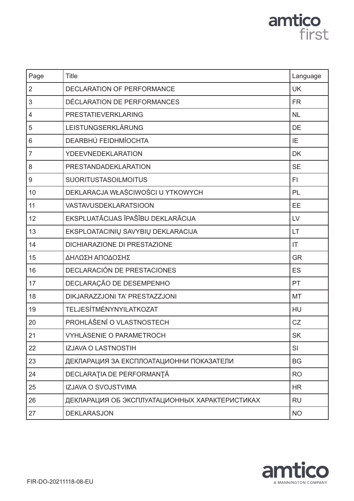# amtico<br>first

| Page           | <b>Title</b>                                   | Language  |
|----------------|------------------------------------------------|-----------|
| $\overline{2}$ | <b>DECLARATION OF PERFORMANCE</b>              | <b>UK</b> |
| 3              | DÉCLARATION DE PERFORMANCES                    | <b>FR</b> |
| 4              | PRESTATIEVERKLARING                            | <b>NL</b> |
| 5              | LEISTUNGSERKLÄRUNG                             | DE        |
| 6              | DEARBHÚ FEIDHMÍOCHTA                           | IE        |
| $\overline{7}$ | <b>YDEEVNEDEKLARATION</b>                      | <b>DK</b> |
| 8              | PRESTANDADEKLARATION                           | <b>SE</b> |
| 9              | <b>SUORITUSTASOILMOITUS</b>                    | FI        |
| 10             | DEKLARACJA WŁAŚCIWOŚCI U YTKOWYCH              | PL        |
| 11             | <b>VASTAVUSDEKLARATSIOON</b>                   | EE        |
| 12             | EKSPLUATĀCIJAS ĪPAŠĪBU DEKLARĀCIJA             | LV        |
| 13             | EKSPLOATACINIŲ SAVYBIŲ DEKLARACIJA             | LT        |
| 14             | <b>DICHIARAZIONE DI PRESTAZIONE</b>            | IT        |
| 15             | ΔΗΛΩΣΗ ΑΠΟΔΟΣΗΣ                                | <b>GR</b> |
| 16             | DECLARACIÓN DE PRESTACIONES                    | <b>ES</b> |
| 17             | DECLARAÇÃO DE DESEMPENHO                       | PT        |
| 18             | DIKJARAZZJONI TA' PRESTAZZJONI                 | <b>MT</b> |
| 19             | TELJESÍTMÉNYNYILATKOZAT                        | HU        |
| 20             | PROHLÁŠENÍ O VLASTNOSTECH                      | CZ        |
| 21             | <b>VYHLÁSENIE O PARAMETROCH</b>                | <b>SK</b> |
| 22             | IZJAVA O LASTNOSTIH                            | SI        |
| 23             | ДЕКЛАРАЦИЯ ЗА ЕКСПЛОАТАЦИОННИ ПОКАЗАТЕЛИ       | <b>BG</b> |
| 24             | DECLARAȚIA DE PERFORMANȚĂ                      | <b>RO</b> |
| 25             | IZJAVA O SVOJSTVIMA                            | <b>HR</b> |
| 26             | ДЕКЛАРАЦИЯ ОБ ЭКСПЛУАТАЦИОННЫХ ХАРАКТЕРИСТИКАХ | <b>RU</b> |
| 27             | <b>DEKLARASJON</b>                             | <b>NO</b> |

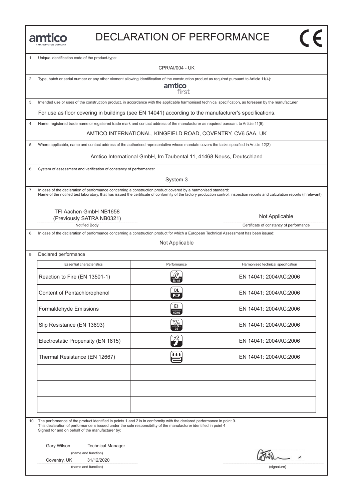| <b>JANNINGTON COMPANY</b> |
|---------------------------|

#### DECLARATION OF PERFORMANCE

1. Unique identification code of the product-type:

CPR/AI/004 - UK

2. Type, batch or serial number or any other element allowing identification of the construction product as required pursuant to Article 11(4):

amtico first

3. Intended use or uses of the construction product, in accordance with the applicable harmonised technical specification, as foreseen by the manufacturer:

For use as floor covering in buildings (see EN 14041) according to the manufacturer's specifications.

4. Name, registered trade name or registered trade mark and contact address of the manufacturer as required pursuant to Article 11(5):

AMTICO INTERNATIONAL, KINGFIELD ROAD, COVENTRY, CV6 5AA, UK

5. Where applicable, name and contact address of the authorised representative whose mandate covers the tasks specified in Article 12(2):

Amtico International GmbH, Im Taubental 11, 41468 Neuss, Deutschland

6. System of assessment and verification of constancy of performance:

System 3

7. In case of the declaration of performance concerning a construction product covered by a harmonised standard: Name of the notified test laboratory, that has issued the certificate of conformity of the factory production control, inspection reports and calculation reports (if relevant).

TFI Aachen GmbH NB1658 (Previously SATRA NB0321)

Notified Body **Certificate of constancy of performance** 

8. In case of the declaration of performance concerning a construction product for which a European Technical Assessment has been issued:

Not Applicable

9. Declared performance

| <b>Essential characteristics</b>   | Performance       | Harmonised technical specification |
|------------------------------------|-------------------|------------------------------------|
| Reaction to Fire (EN 13501-1)      |                   | EN 14041: 2004/AC:2006             |
| Content of Pentachlorophenol       | DL.<br><b>PCP</b> | EN 14041: 2004/AC:2006             |
| Formaldehyde Emissions             | E1<br>HT          | EN 14041: 2004/AC:2006             |
| Slip Resistance (EN 13893)         | K                 | EN 14041: 2004/AC:2006             |
| Electrostatic Propensity (EN 1815) | ŹÈ                | EN 14041: 2004/AC:2006             |
| Thermal Resistance (EN 12667)      | Щ                 | EN 14041: 2004/AC:2006             |
|                                    |                   |                                    |
|                                    |                   |                                    |
|                                    |                   |                                    |

10. The performance of the product identified in points 1 and 2 is in conformity with the declared performance in point 9. This declaration of performance is issued under the sole responsibility of the manufacturer identified in point 4 Signed for and on behalf of the manufacturer by:

Gary Wilson Technical Manager

| (name and function) |
|---------------------|
|---------------------|

Coventry, UK 31/12/2020

(name and function) (signature)

Not Applicable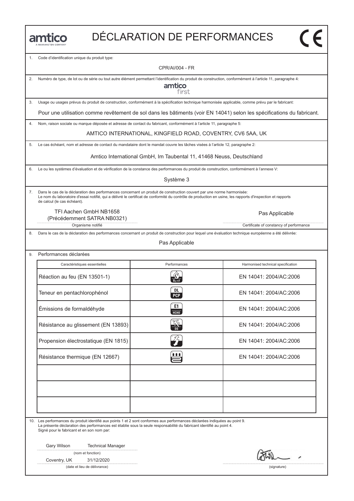|  |  |  | MANNINGTON COMPANY |  |
|--|--|--|--------------------|--|

1. Code d'identification unique du produit type:

CPR/AI/004 - FR

2. Numéro de type, de lot ou de série ou tout autre élément permettant l'identification du produit de construction, conformément à l'article 11, paragraphe 4:

amtico first

3. Usage ou usages prévus du produit de construction, conformément à la spécification technique harmonisée applicable, comme prévu par le fabricant:

Pour une utilisation comme revêtement de sol dans les bâtiments (voir EN 14041) selon les spécifications du fabricant.

4. Nom, raison sociale ou marque déposée et adresse de contact du fabricant, conformément à l'article 11, paragraphe 5:

AMTICO INTERNATIONAL, KINGFIELD ROAD, COVENTRY, CV6 5AA, UK

5. Le cas échéant, nom et adresse de contact du mandataire dont le mandat couvre les tâches visées à l'article 12, paragraphe 2:

Amtico International GmbH, Im Taubental 11, 41468 Neuss, Deutschland

6. Le ou les systèmes d'évaluation et de vérification de la constance des performances du produit de construction, conformément à l'annexe V:

Système 3

7. Dans le cas de la déclaration des performances concernant un produit de construction couvert par une norme harmonisée: Le nom du laboratoire d'essai notifié, qui a délivré le certificat de conformité du contrôle de production en usine, les rapports d'inspection et rapports de calcul (le cas échéant).

TFI Aachen GmbH NB1658 (Précédemment SATRA NB0321)

Organisme notifié **Certificate of constancy of performance** Certificate of constancy of performance

Dans le cas de la déclaration des performances concernant un produit de construction pour lequel une évaluation technique européenne a été délivrée:

Pas Applicable

9. Performances déclarées Caractéristiques essentielles **Accessition** Performances **Harmonised technical specification** Caractéristiques essentielles<br>
Réaction au feu (EN 13501-1)  $\frac{R}{2\pi\epsilon}$ <br>
Réaction au feu (EN 13501-1) EN 14041: 2004/AC:2006 Réaction au feu (EN 13501-1)<br>
Teneur en pentachlorophénol (EN 14041: 2004/AC:2006<br>
Teneur en pentachlorophénol (EN 14041: 2004/AC:2006 Emissions de formaldéhyde<br>
Emissions de formaldéhyde<br>
C EN 14041: 2004/AC:2006 Emissions de formaldehyde<br>
EN 14041: 2004/AC:2006<br>
Résistance au glissement (EN 13893)<br>
EN 14041: 2004/AC:2006 Résistance au glissement (EN 13893)<br>Propension électrostatique (EN 1815)<br>Propension électrostatique (EN 1815) Propension electrostatique (EN 1815)<br>
Résistance thermique (EN 12667)<br>
EN 14041: 2004/AC:2006

10. Les performances du produit identifié aux points 1 et 2 sont conformes aux performances déclarées indiquées au point 9. La présente déclaration des performances est établie sous la seule responsabilité du fabricant identifié au point 4. Signé pour le fabricant et en son nom par:

Gary Wilson Technical Manager

(nom et fonction)

Coventry, UK 31/12/2020

(date et lieu de délivrance) (signature)

Pas Applicable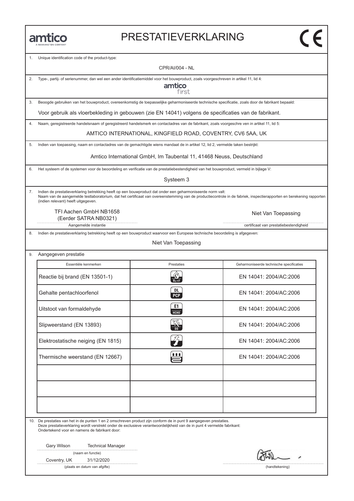#### PRESTATIEVERKLARING

Unique identification code of the product-type:

CPR/AI/004 - NL

2. Type-, partij- of serienummer, dan wel een ander identificatiemiddel voor het bouwproduct, zoals voorgeschreven in artikel 11, lid 4:

amtico first

3. Beoogde gebruiken van het bouwproduct, overeenkomstig de toepasselijke geharmoniseerde technische specificatie, zoals door de fabrikant bepaald:

Voor gebruik als vloerbekleding in gebouwen (zie EN 14041) volgens de specificaties van de fabrikant.

4. Naam, geregistreerde handelsnaam of geregistreerd handelsmerk en contactadres van de fabrikant, zoals voorgeschre ven in artikel 11, lid 5:

AMTICO INTERNATIONAL, KINGFIELD ROAD, COVENTRY, CV6 5AA, UK

5. Indien van toepassing, naam en contactadres van de gemachtigde wiens mandaat de in artikel 12, lid 2, vermelde taken bestrijkt:

Amtico International GmbH, Im Taubental 11, 41468 Neuss, Deutschland

6. Het systeem of de systemen voor de beoordeling en verificatie van de prestatiebestendigheid van het bouwproduct, vermeld in bijlage V:

Systeem 3

7. Indien de prestatieverklaring betrekking heeft op een bouwproduct dat onder een geharmoniseerde norm valt: Naam van de aangemelde testlaboratorium, dat het certificaat van overeenstemming van de productiecontrole in de fabriek, inspectierapporten en berekening rapporten (indien relevant) heeft uitgegeven.

TFI Aachen GmbH NB1658 Niet Van Toepassing (Eerder SATRA NB0321)

Aangemelde instantie certificaat van prestatiebestendigheid

8. Indien de prestatieverklaring betrekking heeft op een bouwproduct waarvoor een Europese technische beoordeling is afgegeven:

#### Niet Van Toepassing

| 9. | Aangegeven prestatie |
|----|----------------------|
|----|----------------------|

| Essentiële kenmerken               | Prestaties                   | Geharmoniseerde technische specificaties |
|------------------------------------|------------------------------|------------------------------------------|
| Reactie bij brand (EN 13501-1)     | $B0$ -s1                     | EN 14041: 2004/AC:2006                   |
| Gehalte pentachloorfenol           | <b>DL</b><br><b>PCP</b>      | EN 14041: 2004/AC:2006                   |
| Uitstoot van formaldehyde          | E1<br>НСНО                   | EN 14041: 2004/AC:2006                   |
| Slipweerstand (EN 13893)           |                              | EN 14041: 2004/AC:2006                   |
| Elektrostatische neiging (EN 1815) | $\mathcal{Z}_{\blacksquare}$ | EN 14041: 2004/AC:2006                   |
| Thermische weerstand (EN 12667)    | Ц                            | EN 14041: 2004/AC:2006                   |
|                                    |                              |                                          |
|                                    |                              |                                          |
|                                    |                              |                                          |

10. De prestaties van het in de punten 1 en 2 omschreven product zijn conform de in punt 9 aangegeven prestaties. Deze prestatieverklaring wordt verstrekt onder de exclusieve verantwoordelijkheid van de in punt 4 vermelde fabrikant: Ondertekend voor en namens de fabrikant door:

Gary Wilson Technical Manager

|  |  | (naam en functie) |
|--|--|-------------------|
|--|--|-------------------|

Coventry, UK 31/12/2020

(plaats en datum van afgifte) (handtekening)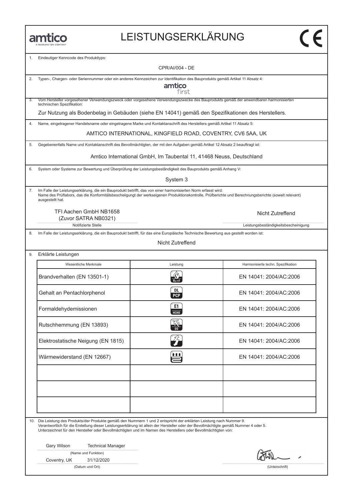#### LEISTUNGSERKLÄRUNG

Eindeutiger Kenncode des Produkttyps:

CPR/AI/004 - DE

|  |  | 2. Typen-, Chargen- oder Seriennummer oder ein anderes Kennzeichen zur Identifikation des Bauprodukts gemäß Artikel 11 Absatz 4: |  |
|--|--|----------------------------------------------------------------------------------------------------------------------------------|--|
|  |  |                                                                                                                                  |  |

amtico first

3. Vom Hersteller vorgesehener Verwendungszweck oder vorgesehene Verwendungszwecke des Bauprodukts gemäß der anwendbaren harmonisierten technischen Spezifikation:

Zur Nutzung als Bodenbelag in Gebäuden (siehe EN 14041) gemäß den Spezifikationen des Herstellers.

4. Name, eingetragener Handelsname oder eingetragene Marke und Kontaktanschrift des Herstellers gemäß Artikel 11 Absatz 5:

AMTICO INTERNATIONAL, KINGFIELD ROAD, COVENTRY, CV6 5AA, UK

5. Gegebenenfalls Name und Kontaktanschrift des Bevollmächtigten, der mit den Aufgaben gemäß Artikel 12 Absatz 2 beauftragt ist:

Amtico International GmbH, Im Taubental 11, 41468 Neuss, Deutschland

6. System oder Systeme zur Bewertung und Überprüfung der Leistungsbeständigkeit des Bauprodukts gemäß Anhang V:

System 3

7. Im Falle der Leistungserklärung, die ein Bauprodukt betrifft, das von einer harmonisierten Norm erfasst wird: Name des Prüflabors, das die Konformitätsbescheiigungt der werkseigenen Produktionskontrolle, Prüfberichte und Berechnungsberichte (soweit relevant) ausgestellt hat.

TFI Aachen GmbH NB1658 (Zuvor SATRA NB0321)

Notifizierte Stelle Leistungsbeständigkeitsbescheinigung

8. Im Falle der Leistungserklärung, die ein Bauprodukt betrifft, für das eine Europäische Technische Bewertung aus gestellt worden ist:

Nicht Zutreffend

9. Erklärte Leistungen

| Wesentliche Merkmale               | Leistung          | Harmonisierte techn. Spezifikation |
|------------------------------------|-------------------|------------------------------------|
| Brandverhalten (EN 13501-1)        |                   | EN 14041: 2004/AC:2006             |
| Gehalt an Pentachlorphenol         | DL.<br><b>PCP</b> | EN 14041: 2004/AC:2006             |
| Formaldehydemissionen              | E1<br>HCHO        | EN 14041: 2004/AC:2006             |
| Rutschhemmung (EN 13893)           |                   | EN 14041: 2004/AC:2006             |
| Elektrostatische Neigung (EN 1815) | ŹÈ                | EN 14041: 2004/AC:2006             |
| Wärmewiderstand (EN 12667)         | t t t             | EN 14041: 2004/AC:2006             |
|                                    |                   |                                    |
|                                    |                   |                                    |
|                                    |                   |                                    |

10. Die Leistung des Produkts/der Produkte gemäß den Nummern 1 und 2 entspricht der erklärten Leistung nach Nummer 9.

Verantwortlich für die Erstellung dieser Leistungserklärung ist allein der Hersteller oder der Bevollmächtigte gemäß Nummer 4 oder 5. Unterzeichnet für den Hersteller oder Bevollmächtigten und im Namen des Herstellers oder Bevollmächtigten von:

Gary Wilson Technical Manager

(Name und Funktion)

Coventry, UK 31/12/2020

(Datum und Ort) (Unterschrift)

Nicht Zutreffend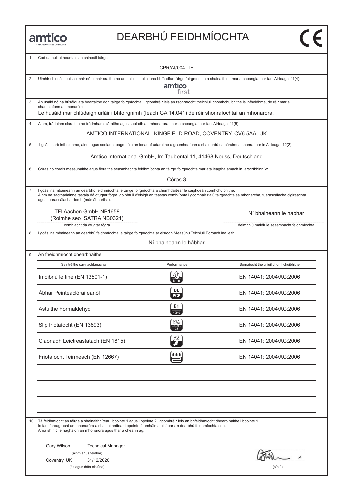# DEARBHÚ FEIDHMÍOCHTA

1. Cód uathúil aitheantais an chineáil táirge:

|    | CPR/AI/004 - IE                                                                                                                                                                                                                                                                                                              |                                                                      |                                            |  |  |  |
|----|------------------------------------------------------------------------------------------------------------------------------------------------------------------------------------------------------------------------------------------------------------------------------------------------------------------------------|----------------------------------------------------------------------|--------------------------------------------|--|--|--|
| 2. | Uimhir chineáil, baiscuimhir nó uimhir sraithe nó aon eilimint eile lena bhféadfar táirge foirgníochta a shainaithint, mar a cheanglaítear faoi Airteagal 11(4):                                                                                                                                                             |                                                                      |                                            |  |  |  |
|    | amtico<br>first                                                                                                                                                                                                                                                                                                              |                                                                      |                                            |  |  |  |
| 3. | An úsáid nó na húsáidí atá beartaithe don táirge foirgníochta, i gcomhréir leis an tsonraíocht theicniúil chomhchuibhithe is infheidhme, de réir mar a<br>shamhlaíonn an monaróir:<br>Le húsáid mar chlúdaigh urláir i bhfoirgnimh (féach GA 14,041) de réir shonraíochtaí an mhonaróra.                                     |                                                                      |                                            |  |  |  |
| 4. | Ainm, trádainm cláraithe nó trádmharc cláraithe agus seoladh an mhonaróra, mar a cheanglaítear faoi Airteagal 11(5):                                                                                                                                                                                                         |                                                                      |                                            |  |  |  |
|    |                                                                                                                                                                                                                                                                                                                              | AMTICO INTERNATIONAL, KINGFIELD ROAD, COVENTRY, CV6 5AA, UK          |                                            |  |  |  |
| 5. | I gcás inarb infheidhme, ainm agus seoladh teagmhála an ionadaí údaraithe a gcumhdaíonn a shainordú na cúraimí a shonraítear in Airteagal 12(2):                                                                                                                                                                             |                                                                      |                                            |  |  |  |
|    |                                                                                                                                                                                                                                                                                                                              | Amtico International GmbH, Im Taubental 11, 41468 Neuss, Deutschland |                                            |  |  |  |
| 6. | Córas nó córais measúnaithe agus fíoraithe seasmhachta feidhmíochta an táirge foirgníochta mar atá leagtha amach in Iarscríbhinn V:                                                                                                                                                                                          |                                                                      |                                            |  |  |  |
|    |                                                                                                                                                                                                                                                                                                                              | Córas 3                                                              |                                            |  |  |  |
| 7. | I gcás ina mbaineann an dearbhú feidhmíochta le táirge foirgníochta a chumhdaítear le caighdeán comhchuibhithe:<br>Ainm na saotharlainne tástála dá dtugtar fógra, go bhfuil d'eisigh an teastas comhlíonta i gcomhair rialú táirgeachta sa mhonarcha, tuarascálacha cigireachta<br>agus tuarascálacha ríomh (más ábhartha). |                                                                      |                                            |  |  |  |
|    | TFI Aachen GmbH NB1658<br>(Roimhe seo SATRA NB0321)                                                                                                                                                                                                                                                                          |                                                                      | Ní bhaineann le hábhar                     |  |  |  |
|    | comhlacht dá dtugtar fógra                                                                                                                                                                                                                                                                                                   |                                                                      | deimhniú maidir le seasmhacht feidhmíochta |  |  |  |
| 8. | I gcás ina mbaineann an dearbhú feidhmíochta le táirge foirgníochta ar eisíodh Measúnú Teicniúil Eorpach ina leith:                                                                                                                                                                                                          | Ní bhaineann le hábhar                                               |                                            |  |  |  |
|    |                                                                                                                                                                                                                                                                                                                              |                                                                      |                                            |  |  |  |
| 9. | An fheidhmíocht dhearbhaithe                                                                                                                                                                                                                                                                                                 |                                                                      |                                            |  |  |  |
|    | Saintréithe sár-riachtanacha                                                                                                                                                                                                                                                                                                 | Performance                                                          | Sonraíocht theicniúil chomhchuibhithe      |  |  |  |
|    | Imoibriú le tine (EN 13501-1)                                                                                                                                                                                                                                                                                                |                                                                      | EN 14041: 2004/AC:2006                     |  |  |  |
|    | Ábhar Peinteaclóraifeanól                                                                                                                                                                                                                                                                                                    | DL<br><b>PCP</b>                                                     | EN 14041: 2004/AC:2006                     |  |  |  |
|    | Astuithe Formaldehyd                                                                                                                                                                                                                                                                                                         | E1<br><b>HCHO</b>                                                    | EN 14041: 2004/AC:2006                     |  |  |  |
|    | Slip friotaíocht (EN 13893)                                                                                                                                                                                                                                                                                                  | KT<br>$\overline{\mathsf{DS}}$                                       | EN 14041: 2004/AC:2006                     |  |  |  |
|    | Claonadh Leictreastatach (EN 1815)                                                                                                                                                                                                                                                                                           | 72                                                                   | EN 14041: 2004/AC:2006                     |  |  |  |
|    | Friotaíocht Teirmeach (EN 12667)                                                                                                                                                                                                                                                                                             | 自自自                                                                  | EN 14041: 2004/AC:2006                     |  |  |  |
|    |                                                                                                                                                                                                                                                                                                                              |                                                                      |                                            |  |  |  |
|    |                                                                                                                                                                                                                                                                                                                              |                                                                      |                                            |  |  |  |
|    |                                                                                                                                                                                                                                                                                                                              |                                                                      |                                            |  |  |  |
|    |                                                                                                                                                                                                                                                                                                                              |                                                                      |                                            |  |  |  |
|    | 10. Tá feidhmíocht an táirge a shainaithnítear i bpointe 1 agus i bpointe 2 i gcomhréir leis an bhfeidhmíocht dhearb haithe i bpointe 9.<br>Is faoi fhreagracht an mhonaróra a shainaithnítear i bpointe 4 amháin a eisítear an dearbhú feidhmíochta seo.<br>Arna shíniú le haghaidh an mhonaróra agus thar a cheann ag:     |                                                                      |                                            |  |  |  |
|    | Gary Wilson<br><b>Technical Manager</b>                                                                                                                                                                                                                                                                                      |                                                                      |                                            |  |  |  |
|    | (ainm agus feidhm)                                                                                                                                                                                                                                                                                                           |                                                                      |                                            |  |  |  |
|    | 31/12/2020<br>Coventry, UK                                                                                                                                                                                                                                                                                                   |                                                                      |                                            |  |  |  |
|    | (áit agus dáta eisiúna)                                                                                                                                                                                                                                                                                                      |                                                                      | (síniú)                                    |  |  |  |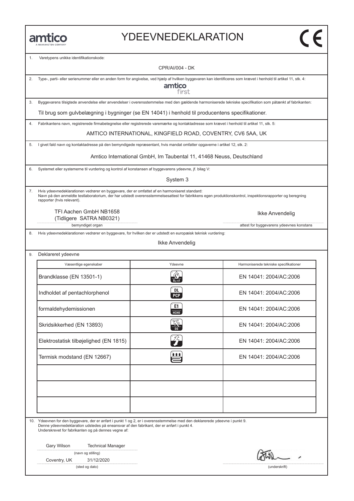#### YDEEVNEDEKLARATION

1. Varetypens unikke identifikationskode:

CPR/AI/004 - DK 2. Type-, parti- eller serienummer eller en anden form for angivelse, ved hjælp af hvilken byggevaren kan identificeres som krævet i henhold til artikel 11, stk. 4: amtico first 3. Byggevarens tilsigtede anvendelse eller anvendelser i overensstemmelse med den gældende harmoniserede tekniske specifikation som påtænkt af fabrikanten: Til brug som gulvbelægning i bygninger (se EN 14041) i henhold til producentens specifikationer. 4. Fabrikantens navn, registrerede firmabetegnelse eller registrerede varemærke og kontaktadresse som krævet i henhold til artikel 11, stk. 5: AMTICO INTERNATIONAL, KINGFIELD ROAD, COVENTRY, CV6 5AA, UK 5. I givet fald navn og kontaktadresse på den bemyndigede repræsentant, hvis mandat omfatter opgaverne i artikel 12, stk. 2: Amtico International GmbH, Im Taubental 11, 41468 Neuss, Deutschland6. Systemet eller systemerne til vurdering og kontrol af konstansen af byggevarens ydeevne, jf. bilag V: System 3 7. Hvis ydeevnedeklarationen vedrører en byggevare, der er omfattet af en harmoniseret standard: Navn på den anmeldte testlaboratorium, der har udstedt overensstemmelsesattest for fabrikkens egen produktionskontrol, inspektionsrapporter og beregning rapporter (hvis relevant). TFI Aachen GmbH NB1658 Ikke Anvendelig (Tidligere SATRA NB0321) bemyndiget organ attest for byggevarens ydeevnes konstans Hvis ydeevnedeklarationen vedrører en byggevare, for hvilken der er udstedt en europæisk teknisk vurdering: Ikke Anvendelig 9. Deklareret ydeevne Væsentlige egenskaber Marmoniserede tekniske specifikatione<br>Brandklasse (EN 13501-1) R EN 14041: 2004/AC:2006 Væsentlige egenskaber **Vasentlige Allen Armoniserede tekniske specifikationer** Ydeevne Harmoniserede tekniske specifikationer Brandklasse (EN 13501-1)<br>
Indholdet af pentachlorphenol (EN 14041: 2004/AC:2006<br>
PCP EN 14041: 2004/AC:2006 Februari 14041: 2004/AC:2006<br>
Formaldehydemissionen C EN 14041: 2004/AC:2006<br>
Formaldehydemissionen EN 14041: 2004/AC:2006 EN 14041: 2004/AC:2006<br>
EN 14041: 2004/AC:2006<br>
Skridsikkerhed (EN 13893) Elektrostatisk tilbøjelighed (EN 1815)<br>Elektrostatisk tilbøjelighed (EN 1815)<br>EN 14041: 2004/AC:2006 Elektrostatisk tilbøjelighed (EN 1815) en en en antalytisk modstand (EN 12667)<br>Termisk modstand (EN 12667) en en antalytisk modstand (EN 12667) en en antalytisk modstand (EN 12004/AC:2006 10. Ydeevnen for den byggevare, der er anført i punkt 1 og 2, er i overensstemmelse med den deklarerede ydeevne i punkt 9. Denne ydeevnedeklaration udstedes på eneansvar af den fabrikant, der er anført i punkt 4. Underskrevet for fabrikanten og på dennes vegne af: Gary Wilson Technical Manager (navn og stilling) Coventry, UK 31/12/2020 (sted og dato) (underskrift)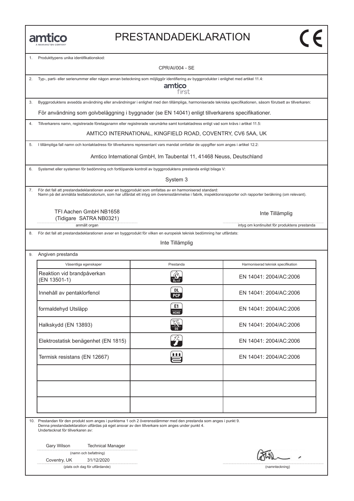#### PRESTANDADEKLARATION

1. Produkttypens unika identifikationskod:

CPR/AI/004 - SE 2. Typ-, parti- eller serienummer eller någon annan beteckning som möjliggör identifiering av byggprodukter i enlighet med artikel 11.4: amtico first 3. Byggproduktens avsedda användning eller användningar i enlighet med den tillämpliga, harmoniserade tekniska specifikationen, såsom förutsett av tillverkaren: För användning som golvbeläggning i byggnader (se EN 14041) enligt tillverkarens specifikationer. 4. Tillverkarens namn, registrerade företagsnamn eller registrerade varumärke samt kontaktadress enligt vad som krävs i artikel 11.5: AMTICO INTERNATIONAL, KINGFIELD ROAD, COVENTRY, CV6 5AA, UK 5. I tillämpliga fall namn och kontaktadress för tillverkarens representant vars mandat omfattar de uppgifter som anges i artikel 12.2: Amtico International GmbH, Im Taubental 11, 41468 Neuss, Deutschland6. Systemet eller systemen för bedömning och fortlöpande kontroll av byggproduktens prestanda enligt bilaga V: System 3 7. För det fall att prestandadeklarationen avser en byggprodukt som omfattas av en harmoniserad standard: Namn på det anmälda testlaboratorium, som har utfärdat ett intyg om överensstämmelse i fabrik, inspektionsrapporter och rapporter beräkning (om relevant). TFI Aachen GmbH NB1658 Inte Tillämplig (Tidigare SATRA NB0321) anmält organ intyg om kontinuitet för produktens prestanda 8. För det fall att prestandadeklarationen avser en byggprodukt för vilken en europeisk teknisk bedömning har utfärdats: Inte Tillämplig 9. Angiven prestanda Väsentliga egenskaper Prestanda Harmoniserad teknisk specifikation<br>Reaktion vid brandpåverkan (EN 13501-1) EN 14041: 2004/AC:2006 Väsentliga egenskaper **Prestanda** Harmoniserad teknisk specifikation Reaktion vid brandpåverkan EN 14041: 2004/AC:2006<br>
Innehåll av pentaklorfenol (EN 13501-1)<br>
EN 14041: 2004/AC:2006 Innehåll av pentaklorfenol (1999) och EN 14041: 2004/AC:2006<br>
Formaldehyd Utsläpp (1999) och EN 14041: 2004/AC:2006 EN 14041: 2004/AC:2006<br>
Halkskydd (EN 13893)<br>
Halkskydd (EN 13893) Elektrostatisk benägenhet (EN 1815)<br>Elektrostatisk benägenhet (EN 1815)<br>EN 14041: 2004/AC:2006 Elektrostatisk benägenhet (EN 1815) en et EN 14041: 2004/AC:2006<br>Termisk resistans (EN 12667) en et EN 14041: 2004/AC:2006 10. Prestandan för den produkt som anges i punkterna 1 och 2 överensstämmer med den prestanda som anges i punkt 9. Denna prestandadeklaration utfärdas på eget ansvar av den tillverkare som anges under punkt 4. Undertecknat för tillverkaren av: Gary Wilson Technical Manager (namn och befattning) Coventry, UK 31/12/2020 (plats och dag för utfärdande) (namnteckning)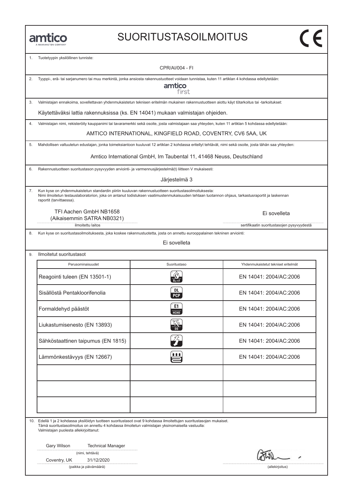# SUORITUSTASOILMOITUS

| 1.                                     | Tuotetyypin yksilöllinen tunniste:                                                                                                                               |                                                                                                                                                                                                                                                          |                                            |  |  |
|----------------------------------------|------------------------------------------------------------------------------------------------------------------------------------------------------------------|----------------------------------------------------------------------------------------------------------------------------------------------------------------------------------------------------------------------------------------------------------|--------------------------------------------|--|--|
|                                        |                                                                                                                                                                  | CPR/AI/004 - FI                                                                                                                                                                                                                                          |                                            |  |  |
| 2.                                     | Tyyppi-, erä- tai sarjanumero tai muu merkintä, jonka ansiosta rakennustuotteet voidaan tunnistaa, kuten 11 artiklan 4 kohdassa edellytetään:<br>amtico<br>first |                                                                                                                                                                                                                                                          |                                            |  |  |
| 3.                                     |                                                                                                                                                                  | Valmistajan ennakoima, sovellettavan yhdenmukaistetun teknisen eritelmän mukainen rakennustuotteen aiottu käyt tötarkoitus tai -tarkoitukset:                                                                                                            |                                            |  |  |
|                                        |                                                                                                                                                                  | Käytettäväksi lattia rakennuksissa (ks. EN 14041) mukaan valmistajan ohjeiden.                                                                                                                                                                           |                                            |  |  |
| 4.                                     |                                                                                                                                                                  | Valmistajan nimi, rekisteröity kauppanimi tai tavaramerkki sekä osoite, josta valmistajaan saa yhteyden, kuten 11 artiklan 5 kohdassa edellytetään:                                                                                                      |                                            |  |  |
|                                        |                                                                                                                                                                  | AMTICO INTERNATIONAL, KINGFIELD ROAD, COVENTRY, CV6 5AA, UK                                                                                                                                                                                              |                                            |  |  |
| 5.                                     |                                                                                                                                                                  | Mahdollisen valtuutetun edustajan, jonka toimeksiantoon kuuluvat 12 artiklan 2 kohdassa eritellyt tehtävät, nimi sekä osoite, josta tähän saa yhteyden:                                                                                                  |                                            |  |  |
|                                        |                                                                                                                                                                  | Amtico International GmbH, Im Taubental 11, 41468 Neuss, Deutschland                                                                                                                                                                                     |                                            |  |  |
| 6.                                     |                                                                                                                                                                  | Rakennustuotteen suoritustason pysyvyyden arviointi- ja varmennusjärjestelmä(t) liitteen V mukaisesti:                                                                                                                                                   |                                            |  |  |
|                                        |                                                                                                                                                                  | Järjestelmä 3                                                                                                                                                                                                                                            |                                            |  |  |
| 7.<br>raportit (tarvittaessa).         |                                                                                                                                                                  | Kun kyse on yhdenmukaistetun standardin piiriin kuuluvan rakennustuotteen suoritustasoilmoituksesta:<br>Nimi ilmoitetun testauslaboratorion, joka on antanut todistuksen vaatimustenmukaisuuden tehtaan tuotannon ohjaus, tarkastusraportit ja laskennan |                                            |  |  |
|                                        | TFI Aachen GmbH NB1658<br>(Aikaisemmin SATRA NB0321)                                                                                                             |                                                                                                                                                                                                                                                          | Ei sovelleta                               |  |  |
| 8.                                     | ilmoitettu laitos                                                                                                                                                | Kun kyse on suoritustasoilmoituksesta, joka koskee rakennustuotetta, josta on annettu eurooppalainen tekninen arviointi:                                                                                                                                 | sertifikaatin suoritustasojen pysyvyydestä |  |  |
|                                        |                                                                                                                                                                  | Ei sovelleta                                                                                                                                                                                                                                             |                                            |  |  |
| Ilmoitetut suoritustasot<br>9.         |                                                                                                                                                                  |                                                                                                                                                                                                                                                          |                                            |  |  |
|                                        | Perusominaisuudet                                                                                                                                                | Suoritustaso                                                                                                                                                                                                                                             | Yhdenmukaistetut tekniset eritelmät        |  |  |
|                                        | Reagointi tuleen (EN 13501-1)                                                                                                                                    |                                                                                                                                                                                                                                                          | EN 14041: 2004/AC:2006                     |  |  |
|                                        | Sisällöstä Pentakloorifenolia                                                                                                                                    | DL<br><b>PCP</b>                                                                                                                                                                                                                                         | EN 14041: 2004/AC:2006                     |  |  |
| Formaldehyd päästöt                    |                                                                                                                                                                  | E1<br>НСНО                                                                                                                                                                                                                                               | EN 14041: 2004/AC:2006                     |  |  |
|                                        | Liukastumisenesto (EN 13893)                                                                                                                                     | أصحره<br>$\frac{d\Delta \phi}{d\Omega}$                                                                                                                                                                                                                  | EN 14041: 2004/AC:2006                     |  |  |
|                                        | Sähköstaattinen taipumus (EN 1815)                                                                                                                               | $Z_T$                                                                                                                                                                                                                                                    | EN 14041: 2004/AC:2006                     |  |  |
|                                        | Lämmönkestävyys (EN 12667)                                                                                                                                       | <b>ASS</b>                                                                                                                                                                                                                                               | EN 14041: 2004/AC:2006                     |  |  |
|                                        |                                                                                                                                                                  |                                                                                                                                                                                                                                                          |                                            |  |  |
|                                        |                                                                                                                                                                  |                                                                                                                                                                                                                                                          |                                            |  |  |
| Valmistajan puolesta allekirjoittanut: |                                                                                                                                                                  | 10. Edellä 1 ja 2 kohdassa yksilöidyn tuotteen suoritustasot ovat 9 kohdassa ilmoitettujen suoritustasojen mukaiset.<br>Tämä suoritustasoilmoitus on annettu 4 kohdassa ilmoitetun valmistajan yksinomaisella vastuulla:                                 |                                            |  |  |
| Gary Wilson                            | <b>Technical Manager</b><br>(nimi, tehtävä)                                                                                                                      |                                                                                                                                                                                                                                                          |                                            |  |  |
| Coventry, UK                           | 31/12/2020<br>(paikka ja päivämäärä)                                                                                                                             |                                                                                                                                                                                                                                                          | (allekirjoitus)                            |  |  |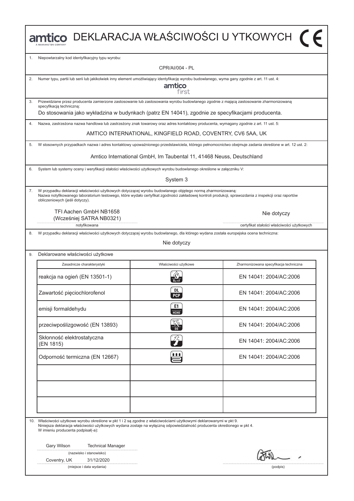|    |                                                                                                                                                                                                                                                                                                       |                                                                      | $\blacksquare$ mtico DEKLARACJA WŁAŚCIWOŚCI U YTKOWYCH $\blacksquare$ |
|----|-------------------------------------------------------------------------------------------------------------------------------------------------------------------------------------------------------------------------------------------------------------------------------------------------------|----------------------------------------------------------------------|-----------------------------------------------------------------------|
| 1. | Niepowtarzalny kod identyfikacyjny typu wyrobu:                                                                                                                                                                                                                                                       |                                                                      |                                                                       |
|    |                                                                                                                                                                                                                                                                                                       | CPR/AI/004 - PL                                                      |                                                                       |
| 2. | Numer typu, partii lub serii lub jakikolwiek inny element umożliwiający identyfikację wyrobu budowlanego, wyma gany zgodnie z art. 11 ust. 4:                                                                                                                                                         | amtico<br>first                                                      |                                                                       |
| 3. | Przewidziane przez producenta zamierzone zastosowanie lub zastosowania wyrobu budowlanego zgodnie z mającą zastosowanie zharmonizowaną<br>specyfikacją techniczną:                                                                                                                                    |                                                                      |                                                                       |
|    | Do stosowania jako wykładzina w budynkach (patrz EN 14041), zgodnie ze specyfikacjami producenta.                                                                                                                                                                                                     |                                                                      |                                                                       |
| 4. | Nazwa, zastrzeżona nazwa handlowa lub zastrzeżony znak towarowy oraz adres kontaktowy producenta, wymagany zgodnie z art. 11 ust. 5:                                                                                                                                                                  |                                                                      |                                                                       |
|    |                                                                                                                                                                                                                                                                                                       | AMTICO INTERNATIONAL, KINGFIELD ROAD, COVENTRY, CV6 5AA, UK          |                                                                       |
| 5. | W stosownych przypadkach nazwa i adres kontaktowy upoważnionego przedstawiciela, którego pełnomocnictwo obejmuje zadania określone w art. 12 ust. 2:                                                                                                                                                  |                                                                      |                                                                       |
|    |                                                                                                                                                                                                                                                                                                       | Amtico International GmbH, Im Taubental 11, 41468 Neuss, Deutschland |                                                                       |
| 6. | System lub systemy oceny i weryfikacji stałości właściwości użytkowych wyrobu budowlanego określone w załączniku V:                                                                                                                                                                                   |                                                                      |                                                                       |
|    |                                                                                                                                                                                                                                                                                                       | System 3                                                             |                                                                       |
| 7. | W przypadku deklaracji właściwości użytkowych dotyczącej wyrobu budowlanego objętego normą zharmonizowaną:<br>Nazwa notyfikowanego laboratorium testowego, które wydało certyfikat zgodności zakładowej kontroli produkcji, sprawozdania z inspekcji oraz raportów<br>obliczeniowych (jeśli dotyczy). |                                                                      |                                                                       |
|    | TFI Aachen GmbH NB1658<br>(Wcześniej SATRA NB0321)                                                                                                                                                                                                                                                    |                                                                      | Nie dotyczy                                                           |
|    | notyfikowana                                                                                                                                                                                                                                                                                          |                                                                      | certyfikat stałości właściwości użytkowych                            |
| 8. | W przypadku deklaracji właściwości użytkowych dotyczącej wyrobu budowlanego, dla którego wydana została europejska ocena techniczna:                                                                                                                                                                  | Nie dotyczy                                                          |                                                                       |
| 9. | Deklarowane właściwości użytkowe                                                                                                                                                                                                                                                                      |                                                                      |                                                                       |
|    | Zasadnicze charakterystyki                                                                                                                                                                                                                                                                            | Właściwości użytkowe                                                 | Zharmonizowana specyfikacja techniczna                                |
|    | reakcja na ogień (EN 13501-1)                                                                                                                                                                                                                                                                         |                                                                      | EN 14041: 2004/AC:2006                                                |
|    | Zawartość pięciochlorofenol                                                                                                                                                                                                                                                                           | <b>DL</b><br><b>PCP</b>                                              | EN 14041: 2004/AC:2006                                                |
|    | emisji formaldehydu                                                                                                                                                                                                                                                                                   | E1<br>нсно                                                           | EN 14041: 2004/AC:2006                                                |
|    | przeciwpoślizgowość (EN 13893)                                                                                                                                                                                                                                                                        |                                                                      | EN 14041: 2004/AC:2006                                                |
|    | Skłonność elektrostatyczna<br>(EN 1815)                                                                                                                                                                                                                                                               | $\widehat{Z}$                                                        | EN 14041: 2004/AC:2006                                                |
|    | Odporność termiczna (EN 12667)                                                                                                                                                                                                                                                                        | <b>111</b>                                                           | EN 14041: 2004/AC:2006                                                |
|    |                                                                                                                                                                                                                                                                                                       |                                                                      |                                                                       |
|    |                                                                                                                                                                                                                                                                                                       |                                                                      |                                                                       |
|    | 10. Właściwości użytkowe wyrobu określone w pkt 1 i 2 są zgodne z właściwościami użytkowymi deklarowanymi w pkt 9.<br>Niniejsza deklaracja właściwości użytkowych wydana zostaje na wyłączną odpowiedzialność producenta określonego w pkt 4.<br>W imieniu producenta podpisał(-a):                   |                                                                      |                                                                       |
|    | Gary Wilson<br><b>Technical Manager</b>                                                                                                                                                                                                                                                               |                                                                      |                                                                       |
|    | (nazwisko i stanowisko)<br>Coventry, UK<br>31/12/2020                                                                                                                                                                                                                                                 |                                                                      |                                                                       |
|    |                                                                                                                                                                                                                                                                                                       |                                                                      |                                                                       |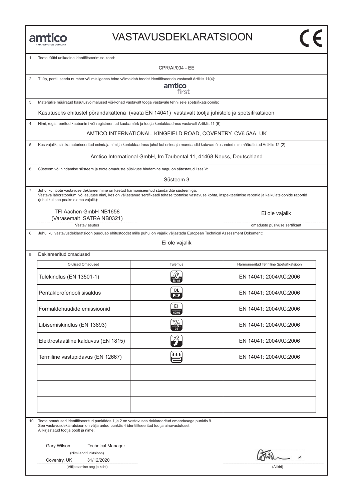#### VASTAVUSDEKLARATSIOON

1. Toote tüϋbi unikaalne identifitseerimise kood:

CPR/AI/004 - EE

2. Tüϋp, partii, seeria number vöi mis iganes teine vöimaldab toodet identifitseerida vastavalt Artiklis 11(4):

amtico first

3. Materjalile määratud kasutusvöimalused vöi-kohad vastavalt tootja vastavale tehnilsele spetsifikatsioonile:

Kasutuseks ehitustel pörandakattena (vaata EN 14041) vastavalt tootja juhistele ja spetsifikatsioon

4. Nimi, registreeritud kaubanimi vöi registreeritud kaubamärk ja tootja kontaktaadress vastavalt Artiklis 11 (5):

AMTICO INTERNATIONAL, KINGFIELD ROAD, COVENTRY, CV6 5AA, UK

5. Kus vajalik, siis ka autoriseeritud esindaja nimi ja kontaktaadress juhul kui esindaja mandaadid katavad ülesanded mis määratletud Artiklis 12 (2):

Amtico International GmbH, Im Taubental 11, 41468 Neuss, Deutschland

6. Süsteem vöi hindamise süsteem ja toote omaduste püsivuse hindamine nagu on sätestatud lisas V:

Süsteem 3

7. Juhul kui toote vastavuse deklareerimine on kaetud harmoniseeritud standardite süsteemiga: Vastava laboratooriumi vöi asutuse nimi, kes on väljastanud sertifikaadi tehase tootmise vastavuse kohta, inspekteerimise reportid ja kalkulatsioonide raportid (juhul kui see peaks olema vajalik):

TFI Aachen GmbH NB1658 (Varasemalt SATRA NB0321)

Vastav asutus omaduste püsivuse sertifkaat

8. Juhul kui vastavusdeklaratsioon puuduab ehitustoodet mille puhul on vajalik väljastada European Technical Assessment Dokument:

Ei ole vajalik

| Olulised Omadused                    | Tulemus          | Harmoneeritud Tehniline Spetsifikatsioon |
|--------------------------------------|------------------|------------------------------------------|
| Tulekindlus (EN 13501-1)             |                  | EN 14041: 2004/AC:2006                   |
| Pentaklorofenooli sisaldus           | DL<br><b>PCP</b> | EN 14041: 2004/AC:2006                   |
| Formaldehüüdide emissioonid          | E1<br>HT         | EN 14041: 2004/AC:2006                   |
| Libisemiskindlus (EN 13893)          |                  | EN 14041: 2004/AC:2006                   |
| Elektrostaatiline kalduvus (EN 1815) |                  | EN 14041: 2004/AC:2006                   |
| Termiline vastupidavus (EN 12667)    | 1 I I            | EN 14041: 2004/AC:2006                   |
|                                      |                  |                                          |
|                                      |                  |                                          |
|                                      |                  |                                          |

10. Toote omadused identifitseeritud punktides 1 ja 2 on vastavuses deklareeritud omandusega punktis 9. See vastavusdeklaratsioon on välja antud punktis 4 identifitseeritud tootja ainuvastutusel. Allkirjastatud tootja poolt ja nimel:

Gary Wilson Technical Manager

|  | (Nimi and funktsioon) |
|--|-----------------------|
|--|-----------------------|

Coventry, UK 31/12/2020

(Väljastamise aeg ja koht) (Allkiri)

Ei ole vajalik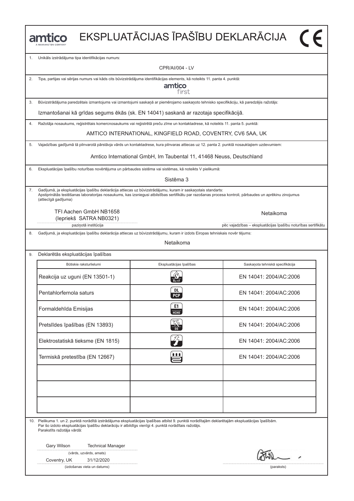|    | amtico                                                                                                                                                                                                                                                                                           |                                                                      | EKSPLUATĀCIJAS ĪPAŠĪBU DEKLARĀCIJA                                         |
|----|--------------------------------------------------------------------------------------------------------------------------------------------------------------------------------------------------------------------------------------------------------------------------------------------------|----------------------------------------------------------------------|----------------------------------------------------------------------------|
| 1. | Unikāls izstrādājuma tipa identifikācijas numurs:                                                                                                                                                                                                                                                |                                                                      |                                                                            |
|    |                                                                                                                                                                                                                                                                                                  | CPR/AI/004 - LV                                                      |                                                                            |
| 2. | Tipa, partijas vai sērijas numurs vai kāds cits būvizstrādājuma identifikācijas elements, kā noteikts 11. panta 4. punktā:                                                                                                                                                                       | amtico<br>first                                                      |                                                                            |
| 3. | Būvizstrādājuma paredzētais izmantojums vai izmantojumi saskaņā ar piemērojamo saskaņoto tehnisko specifikāciju, kā paredzējis ražotājs:                                                                                                                                                         |                                                                      |                                                                            |
|    | Izmantošanai kā grīdas segums ēkās (sk. EN 14041) saskanā ar razotaja specifikācijā.                                                                                                                                                                                                             |                                                                      |                                                                            |
| 4. | Ražotāja nosaukums, reģistrētais komercnosaukums vai reģistrētā preču zīme un kontaktadrese, kā noteikts 11. panta 5. punktā:                                                                                                                                                                    |                                                                      |                                                                            |
|    |                                                                                                                                                                                                                                                                                                  | AMTICO INTERNATIONAL, KINGFIELD ROAD, COVENTRY, CV6 5AA, UK          |                                                                            |
| 5. | Vajadzības gadījumā tā pilnvarotā pārstāvja vārds un kontaktadrese, kura pilnvaras attiecas uz 12. panta 2. punktā nosauktajiem uzdevumiem:                                                                                                                                                      |                                                                      |                                                                            |
|    |                                                                                                                                                                                                                                                                                                  | Amtico International GmbH, Im Taubental 11, 41468 Neuss, Deutschland |                                                                            |
| 6. | Ekspluatācijas īpašību noturības novērtējuma un pārbaudes sistēma vai sistēmas, kā noteikts V pielikumā:                                                                                                                                                                                         |                                                                      |                                                                            |
|    |                                                                                                                                                                                                                                                                                                  | Sistēma 3                                                            |                                                                            |
| 7. | Gadījumā, ja ekspluatācijas īpašību deklarācija attiecas uz būvizstrādājumu, kuram ir saskaņotais standarts:<br>Apstiprinātās testēšanas laboratorijas nosaukums, kas izsniegusi atbilstības sertifikātu par razošanas procesa kontroli, pārbaudes un aprēkinu zinojumus<br>(attiecīgā gadījuma) |                                                                      |                                                                            |
|    | TFI Aachen GmbH NB1658<br>(lepriekš SATRA NB0321)<br>paziņotā institūcija                                                                                                                                                                                                                        |                                                                      | Netaikoma<br>pēc vajadzības - ekspluatācijas īpašību noturības sertifikātu |
| 8. | Gadījumā, ja ekspluatācijas īpašību deklarācija attiecas uz būvizstrādājumu, kuram ir izdots Eiropas tehniskais novēr tējums:                                                                                                                                                                    |                                                                      |                                                                            |
|    |                                                                                                                                                                                                                                                                                                  | Netaikoma                                                            |                                                                            |
| 9. | Deklarētās ekspluatācijas īpašības                                                                                                                                                                                                                                                               |                                                                      |                                                                            |
|    | Būtiskie raksturlielumi                                                                                                                                                                                                                                                                          | Ekspluatācijas īpašības                                              | Saskanota tehniskā specifikācija                                           |
|    | Reakcija uz uguni (EN 13501-1)                                                                                                                                                                                                                                                                   |                                                                      | EN 14041: 2004/AC:2006                                                     |
|    | Pentahlorfernola saturs                                                                                                                                                                                                                                                                          | <b>DL</b><br><b>PCP</b>                                              | EN 14041: 2004/AC:2006                                                     |
|    | Formaldehīda Emisijas                                                                                                                                                                                                                                                                            | E1<br><b>HCHO</b>                                                    | EN 14041: 2004/AC:2006                                                     |
|    | Pretslīdes īpašības (EN 13893)                                                                                                                                                                                                                                                                   |                                                                      | EN 14041: 2004/AC:2006                                                     |
|    | Elektrostatiskā tieksme (EN 1815)                                                                                                                                                                                                                                                                |                                                                      | EN 14041: 2004/AC:2006                                                     |
|    | Termiskā pretestība (EN 12667)                                                                                                                                                                                                                                                                   | <b>111</b>                                                           | EN 14041: 2004/AC:2006                                                     |
|    |                                                                                                                                                                                                                                                                                                  |                                                                      |                                                                            |
|    | 10. Pielikuma 1. un 2. punktā norādītā izstrādājuma ekspluatācijas īpašības atbilst 9. punktā norādītajām deklarētajām ekspluatācijas īpašībām.                                                                                                                                                  |                                                                      |                                                                            |
|    | Par šo izdoto ekspluatācijas īpašību deklarāciju ir atbildīgs vienīgi 4. punktā norādītais ražotājs.<br>Parakstīts ražotāja vārdā:<br>Gary Wilson                                                                                                                                                |                                                                      |                                                                            |
|    | <b>Technical Manager</b><br>(vārds, uzvārds, amats)                                                                                                                                                                                                                                              |                                                                      |                                                                            |
|    | Coventry, UK<br>31/12/2020<br>(izdošanas vieta un datums)                                                                                                                                                                                                                                        |                                                                      | (paraksts)                                                                 |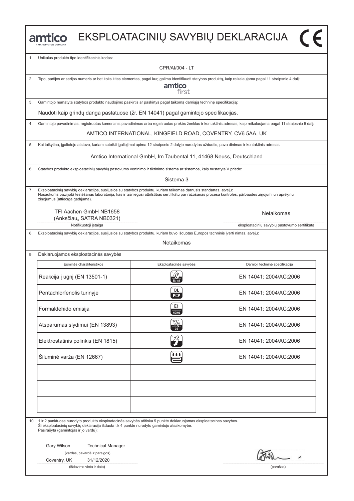|    |                                                                                                                                                                                                                                                                                                                |                                                                      | EKSPLOATACINIŲ SAVYBIŲ DEKLARACIJA (                                                                                                                              |  |  |  |  |  |  |
|----|----------------------------------------------------------------------------------------------------------------------------------------------------------------------------------------------------------------------------------------------------------------------------------------------------------------|----------------------------------------------------------------------|-------------------------------------------------------------------------------------------------------------------------------------------------------------------|--|--|--|--|--|--|
| 1. | Unikalus produkto tipo identifikacinis kodas:                                                                                                                                                                                                                                                                  |                                                                      |                                                                                                                                                                   |  |  |  |  |  |  |
|    |                                                                                                                                                                                                                                                                                                                | <b>CPR/AI/004 - LT</b>                                               |                                                                                                                                                                   |  |  |  |  |  |  |
| 2. | Tipo, partijos ar serijos numeris ar bet koks kitas elementas, pagal kurį galima identifikuoti statybos produktą, kaip reikalaujama pagal 11 straipsnio 4 dalį:                                                                                                                                                | amtico<br>first                                                      |                                                                                                                                                                   |  |  |  |  |  |  |
| 3. | Gamintojo numatyta statybos produkto naudojimo paskirtis ar paskirtys pagal taikomą darniąją techninę specifikaciją:                                                                                                                                                                                           |                                                                      |                                                                                                                                                                   |  |  |  |  |  |  |
|    | Naudoti kaip grindų danga pastatuose (žr. EN 14041) pagal gamintojo specifikacijas.                                                                                                                                                                                                                            |                                                                      |                                                                                                                                                                   |  |  |  |  |  |  |
| 4. |                                                                                                                                                                                                                                                                                                                |                                                                      | Gamintojo pavadinimas, registruotas komercinis pavadinimas arba registruotas prekės ženklas ir kontaktinis adresas, kaip reikalaujama pagal 11 straipsnio 5 dalį: |  |  |  |  |  |  |
|    |                                                                                                                                                                                                                                                                                                                | AMTICO INTERNATIONAL, KINGFIELD ROAD, COVENTRY, CV6 5AA, UK          |                                                                                                                                                                   |  |  |  |  |  |  |
| 5. | Kai taikytina, įgaliotojo atstovo, kuriam suteikti įgaliojimai apima 12 straipsnio 2 dalyje nurodytas užduotis, pava dinimas ir kontaktinis adresas:                                                                                                                                                           |                                                                      |                                                                                                                                                                   |  |  |  |  |  |  |
|    |                                                                                                                                                                                                                                                                                                                | Amtico International GmbH, Im Taubental 11, 41468 Neuss, Deutschland |                                                                                                                                                                   |  |  |  |  |  |  |
| 6. | Statybos produkto eksploatacinių savybių pastovumo vertinimo ir tikrinimo sistema ar sistemos, kaip nustatyta V priede:                                                                                                                                                                                        |                                                                      |                                                                                                                                                                   |  |  |  |  |  |  |
|    |                                                                                                                                                                                                                                                                                                                | Sistema 3                                                            |                                                                                                                                                                   |  |  |  |  |  |  |
| 7. | Eksploatacinių savybių deklaracijos, susijusios su statybos produktu, kuriam taikomas darnusis standartas, atveju:<br>Nosaukums paziņotā testēšanas laboratorija, kas ir izsniegusi atbilstības sertifikātu par ražošanas procesa kontroles, pārbaudes ziņojumi un aprēķinu<br>ziņojumus (attiecīgā gadījumā). |                                                                      |                                                                                                                                                                   |  |  |  |  |  |  |
|    | TFI Aachen GmbH NB1658<br>(Anksčiau,, SATRA NB0321)                                                                                                                                                                                                                                                            |                                                                      | <b>Netaikomas</b>                                                                                                                                                 |  |  |  |  |  |  |
| 8. | Notifikuotoji įstaiga<br>Eksploatacinių savybių deklaracijos, susijusios su statybos produktu, kuriam buvo išduotas Europos techninis įverti nimas, atveju:                                                                                                                                                    |                                                                      | eksploatacinių savybių pastovumo sertifikatą                                                                                                                      |  |  |  |  |  |  |
|    |                                                                                                                                                                                                                                                                                                                | Netaikomas                                                           |                                                                                                                                                                   |  |  |  |  |  |  |
| 9. | Deklaruojamos eksploatacinės savybės                                                                                                                                                                                                                                                                           |                                                                      |                                                                                                                                                                   |  |  |  |  |  |  |
|    | Esminės charakteristikos                                                                                                                                                                                                                                                                                       | Eksploatacinės savybės                                               | Darnioji techninė specifikacija                                                                                                                                   |  |  |  |  |  |  |
|    | Reakcija į ugnį (EN 13501-1)                                                                                                                                                                                                                                                                                   |                                                                      | FN 14041: 2004/AC:2006                                                                                                                                            |  |  |  |  |  |  |
|    | Pentachlorfenolis turinyje                                                                                                                                                                                                                                                                                     | DL<br><b>PCP</b>                                                     | EN 14041: 2004/AC:2006                                                                                                                                            |  |  |  |  |  |  |
|    | Formaldehido emisija                                                                                                                                                                                                                                                                                           | E1<br>HTH                                                            | EN 14041: 2004/AC:2006                                                                                                                                            |  |  |  |  |  |  |
|    | Atsparumas slydimui (EN 13893)                                                                                                                                                                                                                                                                                 |                                                                      | EN 14041: 2004/AC:2006                                                                                                                                            |  |  |  |  |  |  |
|    | Elektrostatinis polinkis (EN 1815)                                                                                                                                                                                                                                                                             | $\widehat{J}_{\bm{\tau}}$                                            | EN 14041: 2004/AC:2006                                                                                                                                            |  |  |  |  |  |  |
|    | Šiluminė varža (EN 12667)                                                                                                                                                                                                                                                                                      | 自自自                                                                  | EN 14041: 2004/AC:2006                                                                                                                                            |  |  |  |  |  |  |
|    |                                                                                                                                                                                                                                                                                                                |                                                                      |                                                                                                                                                                   |  |  |  |  |  |  |
|    |                                                                                                                                                                                                                                                                                                                |                                                                      |                                                                                                                                                                   |  |  |  |  |  |  |
|    |                                                                                                                                                                                                                                                                                                                |                                                                      |                                                                                                                                                                   |  |  |  |  |  |  |
|    | 10. 1 ir 2 punktuose nurodyto produkto eksploatacinės savybės atitinka 9 punkte deklaruojamas eksploatacines savybes.<br>Ši eksploatacinių savybių deklaracija išduota tik 4 punkte nurodyto gamintojo atsakomybe.<br>Pasirašyta (gamintojas ir jo vardu):                                                     |                                                                      |                                                                                                                                                                   |  |  |  |  |  |  |
|    | Gary Wilson<br><b>Technical Manager</b><br>(vardas, pavardė ir pareigos)                                                                                                                                                                                                                                       |                                                                      |                                                                                                                                                                   |  |  |  |  |  |  |
|    | Coventry, UK<br>31/12/2020                                                                                                                                                                                                                                                                                     |                                                                      |                                                                                                                                                                   |  |  |  |  |  |  |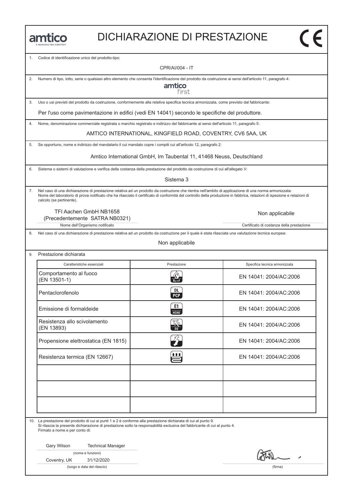#### DICHIARAZIONE DI PRESTAZIONE

1. Codice di identificazione unico del prodotto-tipo:

CPR/AI/004 - IT

| 2. Numero di tipo, lotto, serie o qualsiasi altro elemento che consenta l'identificazione del prodotto da costruzione ai sensi dell'articolo 11, paragrafo 4: |
|---------------------------------------------------------------------------------------------------------------------------------------------------------------|
| amtico                                                                                                                                                        |

first

3. Uso o usi previsti del prodotto da costruzione, conformemente alla relativa specifica tecnica armonizzata, come previsto dal fabbricante:

Per l'uso come pavimentazione in edifici (vedi EN 14041) secondo le specifiche del produttore.

4. Nome, denominazione commerciale registrata o marchio registrato e indirizzo del fabbricante ai sensi dell'articolo 11, paragrafo 5:

AMTICO INTERNATIONAL, KINGFIELD ROAD, COVENTRY, CV6 5AA, UK

5. Se opportuno, nome e indirizzo del mandatario il cui mandato copre i compiti cui all'articolo 12, paragrafo 2:

Amtico International GmbH, Im Taubental 11, 41468 Neuss, Deutschland

6. Sistema o sistemi di valutazione e verifica della costanza della prestazione del prodotto da costruzione di cui all'allegato V:

Sistema 3

7. Nel caso di una dichiarazione di prestazione relativa ad un prodotto da costruzione che rientra nell'ambito di applicazione di una norma armonizzata: Nome del laboratorio di prova notificato che ha rilasciato il certificato di conformità del controllo della produzione in fabbrica, relazioni di ispezione e relazioni di calcolo (se pertinente).

TFI Aachen GmbH NB1658 (Precedentemente SATRA NB0321)

Non applicabile

Nome dell'Organismo notificato controlle controlle controlle controlle controlle controlle controlle controlle controlle controlle controlle controlle controlle controlle controlle controlle controlle controlle controlle c

8. Nel caso di una dichiarazione di prestazione relativa ad un prodotto da costruzione per il quale è stata rilasciata una valutazione tecnica europea:

Non applicabile

| Caratteristiche essenziali                 | Prestazione                         | Specifica tecnica armonizzata |
|--------------------------------------------|-------------------------------------|-------------------------------|
| Comportamento al fuoco<br>(EN 13501-1)     | $\frac{1}{B_{\text{f1}}\text{-s1}}$ | EN 14041: 2004/AC:2006        |
| Pentaclorofenolo                           | DL.<br><b>PCP</b>                   | EN 14041: 2004/AC:2006        |
| Emissione di formaldeide                   | E1<br><b>НСНО</b>                   | EN 14041: 2004/AC:2006        |
| Resistenza allo scivolamento<br>(EN 13893) | $\frac{\sqrt{2}}{2a}$               | EN 14041: 2004/AC:2006        |
| Propensione elettrostatica (EN 1815)       | $Z_T$                               | EN 14041: 2004/AC:2006        |
| Resistenza termica (EN 12667)              | <u>it titl</u>                      | EN 14041: 2004/AC:2006        |
|                                            |                                     |                               |
|                                            |                                     |                               |
|                                            |                                     |                               |

10. La prestazione del prodotto di cui ai punti 1 e 2 è conforme alla prestazione dichiarata di cui al punto 9. Si rilascia la presente dichiarazione di prestazione sotto la responsabilità esclusiva del fabbricante di cui al punto 4.

Firmato a nome e per conto di:

Gary Wilson Technical Manager

(nome e funzioni)

Coventry, UK 31/12/2020

(luogo e data del rilascio) (firma)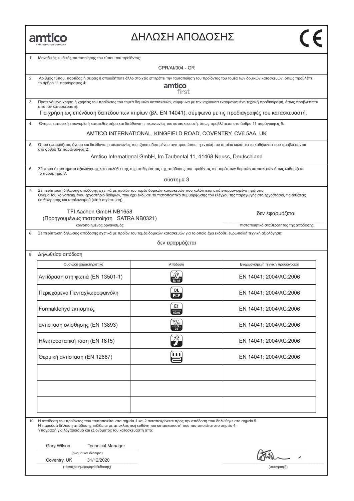| MANNINGTON COMPANY |
|--------------------|

### ΔΗΛΩΣΗ ΑΠΟΔΟΣΗΣ

| 1. | Μοναδικός κωδικός ταυτοποίησης του τύπου του προϊόντος:                                                                                                                                                                                                                                                                      |                                                                      |                                                                                                                                                  |  |  |  |  |  |  |
|----|------------------------------------------------------------------------------------------------------------------------------------------------------------------------------------------------------------------------------------------------------------------------------------------------------------------------------|----------------------------------------------------------------------|--------------------------------------------------------------------------------------------------------------------------------------------------|--|--|--|--|--|--|
|    |                                                                                                                                                                                                                                                                                                                              | CPR/AI/004 - GR                                                      |                                                                                                                                                  |  |  |  |  |  |  |
| 2. | Αριθμός τύπου, παρτίδας ή σειράς ή οποιοδήποτε άλλο στοιχείο επιτρέπει την ταυτοποίηση του προϊόντος του τομέα των δομικών κατασκευών, όπως προβλέπει<br>το άρθρο 11 παράγραφος 4:<br>amtico<br>first                                                                                                                        |                                                                      |                                                                                                                                                  |  |  |  |  |  |  |
| 3. | Προτεινόμενη χρήση ή χρήσεις του προϊόντος του τομέα δομικών κατασκευών, σύμφωνα με την ισχύουσα εναρμονισμένη τεχνική προδιαγραφή, όπως προβλέπεται<br>από τον κατασκευαστή:                                                                                                                                                |                                                                      |                                                                                                                                                  |  |  |  |  |  |  |
|    | Για χρήση ως επένδυση δαπέδου των κτιρίων (βλ. EN 14041), σύμφωνα με τις προδιαγραφές του κατασκευαστή.                                                                                                                                                                                                                      |                                                                      |                                                                                                                                                  |  |  |  |  |  |  |
| 4. | Όνομα, εμπορική επωνυμία ή κατατεθέν σήμα και διεύθυνση επικοινωνίας του κατασκευαστή, όπως προβλέπεται στο άρθρο 11 παράγραφος 5:                                                                                                                                                                                           |                                                                      |                                                                                                                                                  |  |  |  |  |  |  |
|    |                                                                                                                                                                                                                                                                                                                              | AMTICO INTERNATIONAL, KINGFIELD ROAD, COVENTRY, CV6 5AA, UK          |                                                                                                                                                  |  |  |  |  |  |  |
| 5. | στο άρθρο 12 παράγραφος 2:                                                                                                                                                                                                                                                                                                   |                                                                      | Όπου εφαρμόζεται, όνομα και διεύθυνση επικοινωνίας του εξουσιοδοτημένου αντιπροσώπου, η εντολή του οποίου καλύπτει τα καθήκοντα που προβλέπονται |  |  |  |  |  |  |
|    |                                                                                                                                                                                                                                                                                                                              | Amtico International GmbH, Im Taubental 11, 41468 Neuss, Deutschland |                                                                                                                                                  |  |  |  |  |  |  |
|    | το παράρτημα V:                                                                                                                                                                                                                                                                                                              |                                                                      | Σύστημα ή συστήματα αξιολόγησης και επαλήθευσης της σταθερότητας της απόδοσης του προϊόντος του τομέα των δομικών κατασκευών όπως καθορίζεται    |  |  |  |  |  |  |
|    |                                                                                                                                                                                                                                                                                                                              | σύστημα 3                                                            |                                                                                                                                                  |  |  |  |  |  |  |
| 7. | Σε περίπτωση δήλωσης απόδοσης σχετικά με προϊόν του τομέα δομικών κατασκευών που καλύπτεται από εναρμονισμένο πρότυπο:<br>Όνομα του κοινοποιημένου εργαστήριο δοκιμών, που έχει εκδώσει το πιστοποιητικό συμμόρφωσης του ελέγχου της παραγωγής στο εργοστάσιο, τις εκθέσεις<br>επιθεώρησης και υπολογισμού (κατά περίπτωση). |                                                                      |                                                                                                                                                  |  |  |  |  |  |  |
|    | TFI Aachen GmbH NB1658<br>(Προηγουμένως πιστοποίηση SATRA NB0321)                                                                                                                                                                                                                                                            |                                                                      | δεν εφαρμόζεται                                                                                                                                  |  |  |  |  |  |  |
|    | κοινοποιημένος οργανισμός                                                                                                                                                                                                                                                                                                    |                                                                      | πιστοποιητικό σταθερότητας της απόδοσης                                                                                                          |  |  |  |  |  |  |
| 8. | Σε περίπτωση δήλωσης απόδοσης σχετικά με προϊόν του τομέα δομικών κατασκευών για το οποίο έχει εκδοθεί ευρωπαϊκή τεχνική αξιολόγηση:                                                                                                                                                                                         | δεν εφαρμόζεται                                                      |                                                                                                                                                  |  |  |  |  |  |  |
| 9. | Δηλωθείσα απόδοση                                                                                                                                                                                                                                                                                                            |                                                                      |                                                                                                                                                  |  |  |  |  |  |  |
|    | Ουσιώδη χαρακτηριστικά                                                                                                                                                                                                                                                                                                       | Απόδοση                                                              | Εναρμονισμένη τεχνική προδιαγραφή                                                                                                                |  |  |  |  |  |  |
|    | Αντίδραση στη φωτιά (ΕΝ 13501-1)                                                                                                                                                                                                                                                                                             | $B_{fl}$ -s1                                                         | EN 14041: 2004/AC:2006                                                                                                                           |  |  |  |  |  |  |
|    | Περιεχόμενο Πενταχλωροφαινόλη                                                                                                                                                                                                                                                                                                | DL<br><b>PCP</b>                                                     | EN 14041: 2004/AC:2006                                                                                                                           |  |  |  |  |  |  |
|    | Formaldehyd εκπομπές                                                                                                                                                                                                                                                                                                         | E1<br><b>HCHO</b>                                                    | EN 14041: 2004/AC:2006                                                                                                                           |  |  |  |  |  |  |
|    | αντίσταση ολίσθησης (EN 13893)                                                                                                                                                                                                                                                                                               | প্ৰে<br>$\frac{d\mathbf{r}}{d\mathbf{r}}$                            | EN 14041: 2004/AC:2006                                                                                                                           |  |  |  |  |  |  |
|    | Ηλεκτροστατική τάση (EN 1815)                                                                                                                                                                                                                                                                                                | 孬                                                                    | EN 14041: 2004/AC:2006                                                                                                                           |  |  |  |  |  |  |
|    | Θερμική αντίσταση (EN 12667)                                                                                                                                                                                                                                                                                                 | 自自自                                                                  | EN 14041: 2004/AC:2006                                                                                                                           |  |  |  |  |  |  |
|    |                                                                                                                                                                                                                                                                                                                              |                                                                      |                                                                                                                                                  |  |  |  |  |  |  |
|    |                                                                                                                                                                                                                                                                                                                              |                                                                      |                                                                                                                                                  |  |  |  |  |  |  |
|    | 10. Η απόδοση του προϊόντος που ταυτοποιείται στα σημεία 1 και 2 ανταποκρίνεται προς την απόδοση που δηλώθηκε στο σημείο 9.<br>Η παρούσα δήλωση απόδοσης εκδίδεται με αποκλειστική ευθύνη του κατασκευαστή που ταυτοποιείται στο σημείο 4:<br>Υπογραφή για λογαριασμό και εξ ονόματος του κατασκευαστή από:                  |                                                                      |                                                                                                                                                  |  |  |  |  |  |  |
|    | Gary Wilson<br><b>Technical Manager</b><br>(όνομα και ιδιότητα)                                                                                                                                                                                                                                                              |                                                                      |                                                                                                                                                  |  |  |  |  |  |  |
|    | Coventry, UK<br>31/12/2020<br>(τόποςκαιημερομηνίαέκδοσης)                                                                                                                                                                                                                                                                    |                                                                      | (υπογραφή)                                                                                                                                       |  |  |  |  |  |  |
|    |                                                                                                                                                                                                                                                                                                                              |                                                                      |                                                                                                                                                  |  |  |  |  |  |  |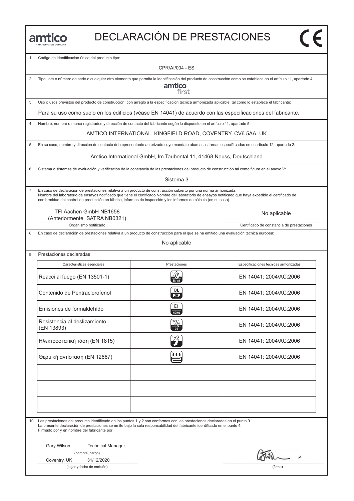|  |  |  | MANNINGTON COMPANY |  |
|--|--|--|--------------------|--|

# DECLARACIÓN DE PRESTACIONES

1. Código de identificación única del producto tipo:

CPR/AI/004 - ES

2. Tipo, lote o número de serie o cualquier otro elemento que permita la identificación del producto de construcción como se establece en el artículo 11, apartado 4: amtico first 3. Uso o usos previstos del producto de construcción, con arreglo a la especificación técnica armonizada aplicable, tal como lo establece el fabricante: Para su uso como suelo en los edificios (véase EN 14041) de acuerdo con las especificaciones del fabricante. 4. Nombre, nombre o marca registrados y dirección de contacto del fabricante según lo dispuesto en el artículo 11, apartado 5: AMTICO INTERNATIONAL, KINGFIELD ROAD, COVENTRY, CV6 5AA, UK 5. En su caso, nombre y dirección de contacto del representante autorizado cuyo mandato abarca las tareas especifi cadas en el artículo 12, apartado 2: Amtico International GmbH, Im Taubental 11, 41468 Neuss, Deutschland6. Sistema o sistemas de evaluación y verificación de la constancia de las prestaciones del producto de construcción tal como figura en el anexo V: Sistema 3 7. En caso de declaración de prestaciones relativa a un producto de construcción cubierto por una norma armonizada: Nombre del laboratorio de ensayos notificado que tiene el certificado Nombre del laboratorio de ensayos notificado que haya expedido el certificado de conformidad del control de producción en fábrica, informes de inspección y los informes de cálculo (en su caso). TFI Aachen GmbH NB1658 No aplicable (Anteriormente SATRA NB0321) Organismo notificado **Certificado de constancia de prestaciones** Certificado de constancia de prestaciones 8. En caso de declaración de prestaciones relativa a un producto de construcción para el que se ha emitido una evaluación técnica europea: No aplicable 9. Prestaciones declaradas Características esenciales Prestaciones Especificaciones técnicas armonizadas<br>Reacci al fuego (EN 13501-1) Reacci al fuego (EN 13501-1) R EN 14041: 2004/AC:2006 Características esenciales Prestaciones Especificaciones técnicas armonizadas Reacci al fuego (EN 13501-1)<br>
Contenido de Pentraclorofenol (EN 14041: 2004/AC:2006)<br>
Contenido de Pentraclorofenol (EN 14041: 2004/AC:2006) Emisiones de formaldehído contenuo de Pentraclorotenol contenuo de Pentraclorotenol contenuo de formaldehído c<br>Emisiones de formaldehído contenuo de formaldehído contenuo de formaldehído contenuo de formaldehído contenuo d Emisiones de formaldehido<br>
Ensistencia al deslizamiento<br>
(EN 13893) Z EN 14041: 2004/AC:2006<br>
EN 14041: 2004/AC:2006 Resistencia al deslizamiento<br>(EN 13893) EN 14041: 2004/AC:2006<br>Hλεκτροστατική τάση (EN 1815) L EN 14041: 2004/AC:2006 Ηλεκτροστατική τάση (EN 1815) ε EN 14041: 2004/AC:2006<br>-<br>Θερμική αντίσταση (EN 12667) ε EN 14041: 2004/AC:2006 10. Las prestaciones del producto identificado en los puntos 1 y 2 son conformes con las prestaciones declaradas en el punto 9. La presente declaración de prestaciones se emite bajo la sola responsabilidad del fabricante identificado en el punto 4. Firmado por y en nombre del fabricante por: Gary Wilson Technical Manager (nombre, cargo) Coventry, UK 31/12/2020 (lugar y fecha de emisión) (firma)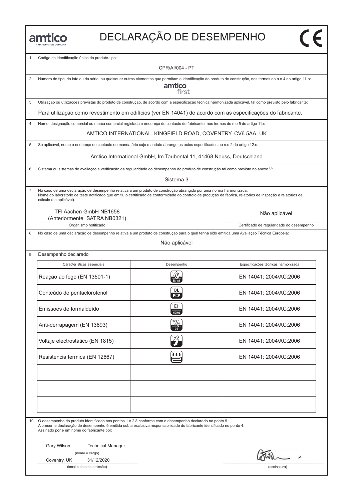# DECLARAҪÃO DE DESEMPENHO

Código de identificação único do produto-tipo:

CPR/AI/004 - PT

2. Número do tipo, do lote ou da série, ou quaisquer outros elementos que permitam a identificação do produto de construção, nos termos do n.o 4 do artigo 11.o: amtico first 3. Utilização ou utilizações previstas do produto de construção, de acordo com a especificação técnica harmonizada aplicável, tal como previsto pelo fabricante: Para utilização como revestimento em edifícios (ver EN 14041) de acordo com as especificações do fabricante. 4. Nome, designação comercial ou marca comercial registada e endereço de contacto do fabricante, nos termos do n.o 5 do artigo 11.o: AMTICO INTERNATIONAL, KINGFIELD ROAD, COVENTRY, CV6 5AA, UK 5. Se aplicável, nome e endereço de contacto do mandatário cujo mandato abrange os actos especificados no n.o 2 do artigo 12.o: Amtico International GmbH, Im Taubental 11, 41468 Neuss, Deutschland6. Sistema ou sistemas de avaliação e verificação da regularidade do desempenho do produto de construção tal como previsto no anexo V: Sistema 3 7. No caso de uma declaração de desempenho relativa a um produto de construção abrangido por uma norma harmonizada: Nome do laboratório de teste notificado que emitiu o certificado de conformidade do controlo de produção da fábrica, relatórios de inspeção e relatórios de cálculo (se aplicável). TFI Aachen GmbH NB1658 Não aplicável (Anteriormente SATRA NB0321) Organismo notificado **Certificado de regularidade do desempenho** Certificado de regularidade do desempenho 8. No caso de uma declaração de desempenho relativa a um produto de construção para o qual tenha sido emitida uma Avaliação Técnica Europeia: Não aplicável 9. Desempenho declarado Características essenciais Desempenho Especificações técnicas harmonizada<br>Reação ao fogo (EN 13501-1)  $\frac{R}{2\pi\epsilon}$  EN 14041: 2004/AC:2006 Características essenciais Desempenho Especificações técnicas harmonizada Reação ao fogo (EN 13501-1)<br>
Conteúdo de pentaclorofenol (EN 14041: 2004/AC:2006)<br>
Conteúdo de pentaclorofenol (EN 14041: 2004/AC:2006) Emissões de formaldeído contexte de formal de formal de formal de formal de formal de formal de formal de formal de formal de formal de formal de formal de formal de formal de formal de formal de formal de formal de formal Emissões de formaldeido EN 14041: 2004/AC:2006<br>Anti-derrapagem (EN 13893) **Z ES EN 14041: 2004/AC:2006** Anti-derrapagem (EN 13893)<br>
Voltaje electrostático (EN 1815)<br>
Voltaje electrostático (EN 1815)<br>
CALEX 14041: 2004/AC:2006 Voltaje electrostático (EN 1815) en 14041: 2004/AC:2006<br>Resistencia termica (EN 12667) e EN 14041: 2004/AC:2006 10. O desempenho do produto identificado nos pontos 1 e 2 é conforme com o desempenho declarado no ponto 9. A presente declaração de desempenho é emitida sob a exclusiva responsabilidade do fabricante identificado no ponto 4. Assinado por e em nome do fabricante por: Gary Wilson Technical Manager (nome e cargo) Coventry, UK 31/12/2020

(local e data de emissão) (assinatura)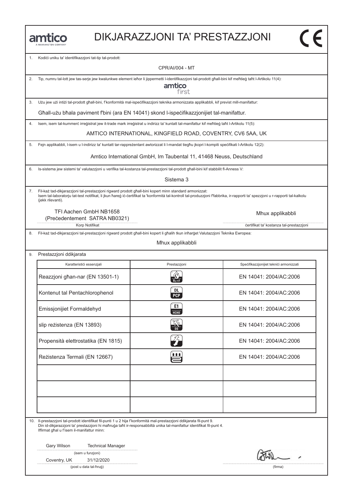|   | e e | II. |  |                       |  |
|---|-----|-----|--|-----------------------|--|
| n |     |     |  | ALAMAINETTOM COMPANIV |  |

#### DIKJARAZZJONI TA' PRESTAZZJONI

1. Kodići uniku ta' identifikazzjoni tat-tip tal-prodott:

CPR/AI/004 - MT

2. Tip, numru tal-lott jew tas-serje jew kwalunkwe element ieħor li jippermetti l-identifikazzjoni tal-prodott għall-bini kif meħtieġ taħt l-Artikolu 11(4):

amtico first

3. Użu jew użi intiżi tal-prodott għall-bini, f'konformità mal-ispeċifikazzjoni teknika armonizzata applikabbli, kif previst mill-manifattur:

Għall-użu bħala paviment f'bini (ara EN 14041) skond l-ispeċifikazzjonijiet tal-manifattur.

4. Isem, isem tal-kummerċ irreġistrat jew it-trade mark irreġistrat u indirizz ta' kuntatt tal-manifattur kif meħtieġ taħt l-Artikolu 11(5):

AMTICO INTERNATIONAL, KINGFIELD ROAD, COVENTRY, CV6 5AA, UK

5. Fejn applikabbli, l-isem u l-indirizz ta' kuntatt tar-rappreżentant awtorizzat li l-mandat tiegħu jkopri l-kompiti speċifikati l-Artikolu 12(2):

Amtico International GmbH, Im Taubental 11, 41468 Neuss, Deutschland

6. Is-sistema jew sistemi ta' valutazzjoni u verifika tal-kostanza tal-prestazzjoni tal-prodott għall-bini kif stabbilit fl-Anness V:

Sistema 3

7. Fil-każ tad-dikjarazzjoni tal-prestazzjoni rigward prodott għall-bini kopert minn standard armonizzat: Isem tal-laboratorju tat-test notifikat, li jkun ħareġ iċ-ċertifikat ta 'konformità tal-kontroll tal-produzzjoni f'fabbrika, ir-rapporti ta' spezzjoni u r-rapporti tal-kalkolu (jekk rilevanti).

TFI Aachen GmbH NB1658 (Preċedentement SATRA NB0321)

9. Prestazzjoni ddikjarata

8. Fil-każ tad-dikjarazzjoni tal-prestazzjoni rigward prodott għall-bini kopert li għalih tkun inħarġet Valutazzjoni Teknika Ewropea:

Mhux applikabbli

| Karatterističi essenzjali           | Prestazzjoni                              |                                         |
|-------------------------------------|-------------------------------------------|-----------------------------------------|
|                                     |                                           | Specifikazzjonijiet teknici armonizzati |
| Reazzjoni għan-nar (EN 13501-1)     | $\frac{1}{B_{\text{II}} \cdot \text{s}1}$ | EN 14041: 2004/AC:2006                  |
| Kontenut tal Pentachlorophenol      | DL.<br>PCP                                | EN 14041: 2004/AC:2006                  |
| Emissjonijiet Formaldehyd           | E1<br>HT                                  | EN 14041: 2004/AC:2006                  |
| slip reżistenza (EN 13893)          |                                           | EN 14041: 2004/AC:2006                  |
| Propensità elettrostatika (EN 1815) | $Z_T$                                     | EN 14041: 2004/AC:2006                  |
| Rezistenza Termali (EN 12667)       | în                                        | EN 14041: 2004/AC:2006                  |
|                                     |                                           |                                         |
|                                     |                                           |                                         |
|                                     |                                           |                                         |

10. Il-prestazzjoni tal-prodott identifikat fil-punti 1 u 2 hija f'konformità mal-prestazzjoni ddikjarata fil-punt 9. Din id-dikjarazzjoni ta' prestazzjoni hi maħruġa taħt ir-responsabbiltà unika tal-manifattur identifikat fil-punt 4. Iffirmat għal u f'isem il-manifattur minn:

Gary Wilson Technical Manager

| (isem u funzjoni) |  |  |  |  |
|-------------------|--|--|--|--|
|-------------------|--|--|--|--|

Coventry, UK 31/12/2020

(post u data tal-ħruġ) (firma)

Mhux applikabbli

 $\overline{\mathsf{c}\mathsf{c}}$ 

Korp Notifikat **in the set of the set of the set of the set of the set of the set of the set of the set of the set of the set of the set of the set of the set of the set of the set of the set of the set of the set of the s**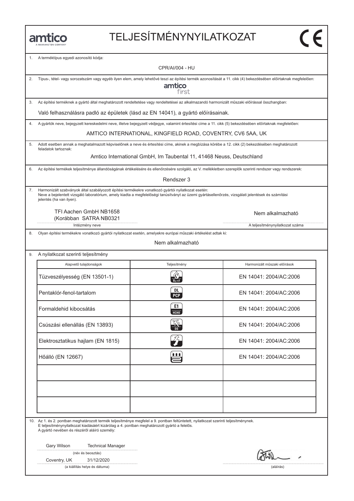# TELJESÍTMÉNYNYILATKOZAT

1. A terméktípus egyedi azonosító kódja:

|    |                                                                                                                                                                                                                                                                                      | <b>CPR/AI/004 - HU</b>                                               |                                 |  |  |  |
|----|--------------------------------------------------------------------------------------------------------------------------------------------------------------------------------------------------------------------------------------------------------------------------------------|----------------------------------------------------------------------|---------------------------------|--|--|--|
| 2. | Típus-, tétel- vagy sorozatszám vagy egyéb ilyen elem, amely lehetővé teszi az építési termék azonosítását a 11. cikk (4) bekezdésében előírtaknak megfelelően:<br>amtico<br>first                                                                                                   |                                                                      |                                 |  |  |  |
| 3. | Az építési terméknek a gyártó által meghatározott rendeltetése vagy rendeltetései az alkalmazandó harmonizált műszaki előírással összhangban:                                                                                                                                        |                                                                      |                                 |  |  |  |
|    | Való felhasználásra padló az épületek (lásd az EN 14041), a gyártó előírásainak.                                                                                                                                                                                                     |                                                                      |                                 |  |  |  |
| 4. | A gyártók neve, bejegyzett kereskedelmi neve, illetve bejegyzett védjegye, valamint értesítési címe a 11. cikk (5) bekezdésében előírtaknak megfelelően:                                                                                                                             |                                                                      |                                 |  |  |  |
|    |                                                                                                                                                                                                                                                                                      | AMTICO INTERNATIONAL, KINGFIELD ROAD, COVENTRY, CV6 5AA, UK          |                                 |  |  |  |
| 5. | Adott esetben annak a meghatalmazott képviselőnek a neve és értesítési címe, akinek a megbízása körébe a 12. cikk (2) bekezdésében meghatározott<br>feladatok tartoznak:                                                                                                             |                                                                      |                                 |  |  |  |
|    |                                                                                                                                                                                                                                                                                      | Amtico International GmbH, Im Taubental 11, 41468 Neuss, Deutschland |                                 |  |  |  |
| 6. | Az építési termékek teljesítménye állandóságának értékelésére és ellenőrzésére szolgáló, az V. mellékletben szereplők szerinti rendszer vagy rendszerek:                                                                                                                             |                                                                      |                                 |  |  |  |
|    |                                                                                                                                                                                                                                                                                      | Rendszer 3                                                           |                                 |  |  |  |
| 7. | Harmonizált szabványok által szabályozott építési termékekre vonatkozó gyártói nyilatkozat esetén:<br>Neve a bejelentett vizsgáló laboratórium, amely kiadta a megfelelőségi tanúsítványt az üzemi gyártásellenőrzés, vizsgálati jelentések és számítási<br>jelentés (ha van ilyen). |                                                                      |                                 |  |  |  |
|    | TFI Aachen GmbH NB1658<br>(Korábban SATRA NB0321                                                                                                                                                                                                                                     |                                                                      | Nem alkalmazható                |  |  |  |
|    | Intézmény neve                                                                                                                                                                                                                                                                       |                                                                      | A teljesítménynyilatkozat száma |  |  |  |
| 8. | Olyan építési termékekre vonatkozó gyártói nyilatkozat esetén, amelyekre európai műszaki értékelést adtak ki:                                                                                                                                                                        |                                                                      |                                 |  |  |  |
|    |                                                                                                                                                                                                                                                                                      | Nem alkalmazható                                                     |                                 |  |  |  |
| 9. | A nyilatkozat szerinti teljesítmény                                                                                                                                                                                                                                                  |                                                                      |                                 |  |  |  |
|    | Alapvető tulajdonságok                                                                                                                                                                                                                                                               | Teljesítmény                                                         | Harmonizált műszaki előírások   |  |  |  |
|    | Tüzveszélyesség (EN 13501-1)                                                                                                                                                                                                                                                         |                                                                      | EN 14041: 2004/AC:2006          |  |  |  |
|    | Pentaklór-fenol-tartalom                                                                                                                                                                                                                                                             | DL<br><b>PCP</b>                                                     | EN 14041: 2004/AC:2006          |  |  |  |
|    | Formaldehid kibocsátás                                                                                                                                                                                                                                                               | E1<br><b>HCHO</b>                                                    | EN 14041: 2004/AC:2006          |  |  |  |
|    | Csúszási ellenállás (EN 13893)                                                                                                                                                                                                                                                       | K<br>DS                                                              | EN 14041: 2004/AC:2006          |  |  |  |
|    | Elektrosztatikus hajlam (EN 1815)                                                                                                                                                                                                                                                    | 72                                                                   | EN 14041: 2004/AC:2006          |  |  |  |
|    | Hőálló (EN 12667)                                                                                                                                                                                                                                                                    | 自自自                                                                  | EN 14041: 2004/AC:2006          |  |  |  |
|    |                                                                                                                                                                                                                                                                                      |                                                                      |                                 |  |  |  |
|    |                                                                                                                                                                                                                                                                                      |                                                                      |                                 |  |  |  |
|    | 10. Az 1. és 2. pontban meghatározott termék teljesítménye megfelel a 9. pontban feltüntetett, nyilatkozat szerinti teljesítménynek.<br>E teljesítménynyilatkozat kiadásáért kizárólag a 4. pontban meghatározott gyártó a felelős.<br>A gyártó nevében és részéről aláíró személy:  |                                                                      |                                 |  |  |  |
|    | Gary Wilson<br><b>Technical Manager</b>                                                                                                                                                                                                                                              |                                                                      |                                 |  |  |  |
|    | (név és beosztás)                                                                                                                                                                                                                                                                    |                                                                      |                                 |  |  |  |
|    | 31/12/2020<br>Coventry, UK                                                                                                                                                                                                                                                           |                                                                      |                                 |  |  |  |
|    | (a kiállítás helye és dátuma)                                                                                                                                                                                                                                                        |                                                                      | (aláírás)                       |  |  |  |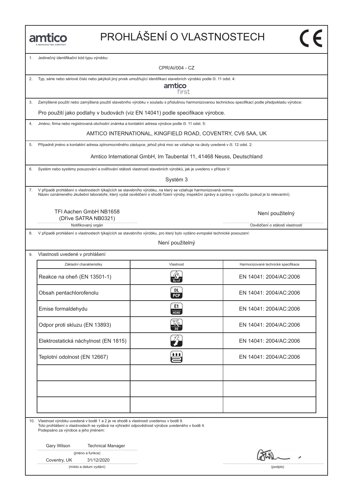# PROHLÁŠENÍ O VLASTNOSTECH

1. Jedinečný identifikační kód typu výrobku:

CPR/AI/004 - CZ

2. Typ, série nebo sériové číslo nebo jakýkoli jiný prvek umožňující identifikaci stavebních výrobků podle čl. 11 odst. 4:

amtico first

3. Zamýšlené použití nebo zamýšlená použití stavebního výrobku v souladu s příslušnou harmonizovanou technickou specifikací podle předpokladu výrobce:

Pro použití jako podlahy v budovách (viz EN 14041) podle specifikace výrobce.

4. Jméno, firma nebo registrovaná obchodní známka a kontaktní adresa výrobce podle čl. 11 odst. 5:

AMTICO INTERNATIONAL, KINGFIELD ROAD, COVENTRY, CV6 5AA, UK

5. Případně jméno a kontaktní adresa zplnomocněného zástupce, jehož plná moc se vztahuje na úkoly uvedené v čl. 12 odst. 2:

Amtico International GmbH, Im Taubental 11, 41468 Neuss, Deutschland

6. Systém nebo systémy posuzování a ověřování stálosti vlastností stavebních výrobků, jak je uvedeno v příloze V:

Systém 3

7. V případě prohlášení o vlastnostech týkajících se stavebního výrobku, na který se vztahuje harmonizovaná norma: Název oznámeného zkušební laboratoře, který vydal osvědčení o shodě řízení výroby, inspekční zprávy a zprávy o výpočtu (pokud je to relevantní).

> TFI Aachen GmbH NB1658 (Dříve SATRA NB0321)

> > Notifikovaný orgán **Osvědčení o stálosti vlastností vlastností vlastností vlastností vlastností vlastností vlastností vlastností vlastností vlastností vlastností vlastností vlastností vlastností vlastností vlastností vlast**

8. V případě prohlášení o vlastnostech týkajících se stavebního výrobku, pro který bylo vydáno evropské technické posouzení:

Není použitelný

| Vlastnosti uvedené v prohlášení      |                   |                                     |  |  |
|--------------------------------------|-------------------|-------------------------------------|--|--|
| Základní charakteristiky             | Vlastnost         | Harmonizované technické specifikace |  |  |
| Reakce na oheň (EN 13501-1)          |                   | EN 14041: 2004/AC:2006              |  |  |
| Obsah pentachlorofenolu              | DL<br><b>PCP</b>  | EN 14041: 2004/AC:2006              |  |  |
| Emise formaldehydu                   | E1<br><b>HCHO</b> | EN 14041: 2004/AC:2006              |  |  |
| Odpor proti skluzu (EN 13893)        |                   | EN 14041: 2004/AC:2006              |  |  |
| Elektrostatická náchylnost (EN 1815) |                   | EN 14041: 2004/AC:2006              |  |  |
| Teplotní odolnost (EN 12667)         | Ħ                 | EN 14041: 2004/AC:2006              |  |  |
|                                      |                   |                                     |  |  |
|                                      |                   |                                     |  |  |
|                                      |                   |                                     |  |  |

10. Vlastnost výrobku uvedená v bodě 1 a 2 je ve shodě s vlastností uvedenou v bodě 9. Toto prohlášení o vlastnostech se vydává na výhradní odpovědnost výrobce uvedeného v bodě 4. Podepsáno za výrobce a jeho jménem:

Gary Wilson Technical Manager

(jméno a funkce)

Coventry, UK 31/12/2020

(místo a datum vydání) (podpis)

Není použitelný

 $\overline{\mathsf{c}\mathsf{c}}$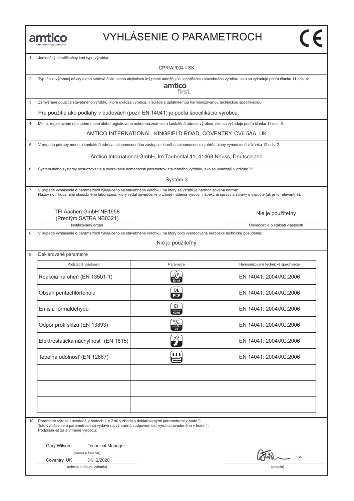# VYHLÁSENIE O PARAMETROCH

(مانج)

1. Jedinečný identifikačný kód typu výrobku:

CPR/AI/004 - SK

| 2. |                                                                                                                                                                                                                                                                           | amtico<br>first                                                      | Typ, číslo výrobnej dávky alebo sériové číslo, alebo akýkoľvek iný prvok umožňujúci identifikáciu stavebného výrobku, ako sa vyžaduje podľa článku 11 ods. 4: |  |  |
|----|---------------------------------------------------------------------------------------------------------------------------------------------------------------------------------------------------------------------------------------------------------------------------|----------------------------------------------------------------------|---------------------------------------------------------------------------------------------------------------------------------------------------------------|--|--|
| 3. | Zamýšľané použitia stavebného výrobku, ktoré uvádza výrobca, v súlade s uplatniteľnou harmonizovanou technickou špecifikáciou:                                                                                                                                            |                                                                      |                                                                                                                                                               |  |  |
|    | Pre použitie ako podlahy v budovách (pozri EN 14041) je podľa špecifikácie výrobcu.                                                                                                                                                                                       |                                                                      |                                                                                                                                                               |  |  |
| 4. | Meno, registrované obchodné meno alebo registrovaná ochranná známka a kontaktná adresa výrobcu, ako sa vyžaduje podľa článku 11 ods. 5:                                                                                                                                   |                                                                      |                                                                                                                                                               |  |  |
|    |                                                                                                                                                                                                                                                                           | AMTICO INTERNATIONAL, KINGFIELD ROAD, COVENTRY, CV6 5AA, UK          |                                                                                                                                                               |  |  |
| 5. | V prípade potreby meno a kontaktná adresa splnomocneného zástupcu, ktorého splnomocnenie zahŕňa úlohy vymedzené v článku 12 ods. 2:                                                                                                                                       |                                                                      |                                                                                                                                                               |  |  |
|    |                                                                                                                                                                                                                                                                           | Amtico International GmbH, Im Taubental 11, 41468 Neuss, Deutschland |                                                                                                                                                               |  |  |
| 6. | Systém alebo systémy posudzovania a overovania nemennosti parametrov stavebného výrobku, ako sa uvádzajú v prílohe V:                                                                                                                                                     |                                                                      |                                                                                                                                                               |  |  |
|    |                                                                                                                                                                                                                                                                           | Systém 3                                                             |                                                                                                                                                               |  |  |
| 7. | V prípade vyhlásenia o parametroch týkajúceho sa stavebného výrobku, na ktorý sa vzťahuje harmonizovaná norma:<br>Názov notifikovaného skúšobného laboratória, ktorý vydal osvedčenie o zhode riadenia výroby, inšpekčné správy a správy o výpočte (ak je to relevantné). |                                                                      |                                                                                                                                                               |  |  |
|    | TFI Aachen GmbH NB1658<br>(Predtým SATRA NB0321)                                                                                                                                                                                                                          |                                                                      | Nie je použiteľný                                                                                                                                             |  |  |
|    | Notifikovaný orgán                                                                                                                                                                                                                                                        |                                                                      | Osvedčenie o stálosti vlastností                                                                                                                              |  |  |
| 8. | V prípade vyhlásenia o parametroch týkajúceho sa stavebného výrobku, na ktorý bolo vypracované európske technické posúdenie:                                                                                                                                              | Nie je použiteľný                                                    |                                                                                                                                                               |  |  |
| 9. | Deklarované parametre                                                                                                                                                                                                                                                     |                                                                      |                                                                                                                                                               |  |  |
|    | Podstatné vlastnosti                                                                                                                                                                                                                                                      | Parametre                                                            | Harmonizované technické špecifikácie                                                                                                                          |  |  |
|    | Reakcia na oheň (EN 13501-1)                                                                                                                                                                                                                                              | $B_{fl}$ -s1                                                         | EN 14041: 2004/AC:2006                                                                                                                                        |  |  |
|    | Obsah pentachlórfenolu                                                                                                                                                                                                                                                    | DL<br><b>PCP</b>                                                     | EN 14041: 2004/AC:2006                                                                                                                                        |  |  |
|    | Emisia formaldehydu                                                                                                                                                                                                                                                       | E1<br>HCHO                                                           | EN 14041: 2004/AC:2006                                                                                                                                        |  |  |
|    | Odpor proti sklzu (EN 13893)                                                                                                                                                                                                                                              |                                                                      | EN 14041: 2004/AC:2006                                                                                                                                        |  |  |
|    | Elektrostatická náchylnosť (EN 1815)                                                                                                                                                                                                                                      | $\mathcal{L}_{\mathcal{L}}$                                          | EN 14041: 2004/AC:2006                                                                                                                                        |  |  |
|    | Tepelná odolnosť (EN 12667)                                                                                                                                                                                                                                               | <u>t t t</u>                                                         | EN 14041: 2004/AC:2006                                                                                                                                        |  |  |
|    |                                                                                                                                                                                                                                                                           |                                                                      |                                                                                                                                                               |  |  |
|    |                                                                                                                                                                                                                                                                           |                                                                      |                                                                                                                                                               |  |  |
|    | 10. Parametre výrobku uvedené v bodoch 1 a 2 sú v zhode s deklarovanými parametrami v bode 9.<br>Toto vyhlásenie o parametroch sa vydáva na výhradnú zodpovednosť výrobcu uvedeného v bode 4.<br>Podpísal(-a) za a v mene výrobcu:                                        |                                                                      |                                                                                                                                                               |  |  |

Gary Wilson Technical Manager

|  |  | (meno a funkcia) |
|--|--|------------------|
|--|--|------------------|

Coventry, UK 31/12/2020

(miesto a dátum vydania) (podpis)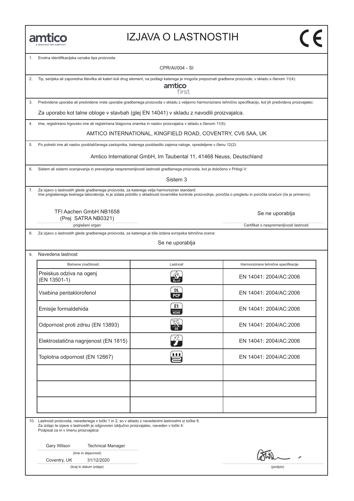#### IZJAVA O LASTNOSTIH

1. Enotna identifikacijska oznaka tipa proizvoda:

CPR/AI/004 - SI

2. Tip, serijska ali zaporedna številka ali kateri koli drug element, na podlagi katerega je mogoče prepoznati gradbene proizvode, v skladu s členom 11(4):

amtico first

3. Predvidena uporaba ali predvidene vrste uporabe gradbenega proizvoda v skladu z veljavno harmonizirano tehnično specifikacijo, kot jih predvideva proizvajalec:

Za uporabo kot talne obloge v stavbah (glej EN 14041) v skladu z navodili proizvajalca.

4. Ime, registrirano trgovsko ime ali registrirana blagovna znamka in naslov proizvajalca v skladu s členom 11(5):

AMTICO INTERNATIONAL, KINGFIELD ROAD, COVENTRY, CV6 5AA, UK

5. Po potrebi ime ali naslov pooblaščenega zastopnika, katerega pooblastilo zajema naloge, opredeljene v členu 12(2):

Amtico International GmbH, Im Taubental 11, 41468 Neuss, Deutschland

6. Sistem ali sistemi ocenjevanja in preverjanja nespremenljivosti lastnosti gradbenega proizvoda, kot je določeno v Prilogi V:

Sistem 3

7. Za izjavo o lastnostih glede gradbenega proizvoda, za katerega velja harmoniziran standard:<br>Ime priglašenega testnega laboratorija, ki je izdala potrdilo o skladnosti tovarniške kontrole proizvodnje, poročila o pregledu

TFI Aachen GmbH NB1658 (Prej SATRA NB0321)

priglašeni organ **Certifikat o nespremenljivosti lastnosti** Certifikat o nespremenljivosti lastnosti

8. Za izjavo o lastnostih glede gradbenega proizvoda, za katerega je bila izdana evropska tehnična ocena:

Se ne uporablja

9. Navedena lastnost

| Bistvene značilnosti:                    | Lastnost                   | Harmonizirane tehnične specifikacije |
|------------------------------------------|----------------------------|--------------------------------------|
| Preiskus odziva na ogenj<br>(EN 13501-1) |                            | EN 14041: 2004/AC:2006               |
| Vsebina pentaklorofenol                  | DL<br><b>PCP</b>           | EN 14041: 2004/AC:2006               |
| Emisije formaldehida                     | E1<br><b>HCHO</b>          | EN 14041: 2004/AC:2006               |
| Odpornost proti zdrsu (EN 13893)         |                            | EN 14041: 2004/AC:2006               |
| Elektrostatična nagnjenost (EN 1815)     | $\mathcal{L}_{\mathbf{r}}$ | EN 14041: 2004/AC:2006               |
| Toplotna odpornost (EN 12667)            | Ë                          | EN 14041: 2004/AC:2006               |
|                                          |                            |                                      |
|                                          |                            |                                      |
|                                          |                            |                                      |

10. Lastnosti proizvoda, navedenega v točki 1 in 2, so v skladu z navedenimi lastnostmi iz točke 9. Za izdajo te izjave o lastnostih je odgovoren izključno proizvajalec, naveden v točki 4: Podpisal za in v imenu proizvajalca:

Gary Wilson Technical Manager

(ime in dejavnost)

Coventry, UK 31/12/2020

(kraj in datum izdaje) (podpis)

Se ne uporablja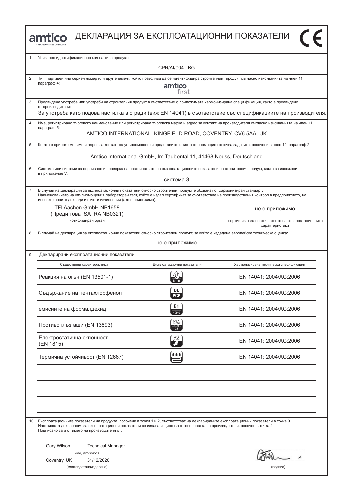|         | amtico                                                                                                                                                                                                                                                                                                                                                                                    |                                                                      | ДЕКЛАРАЦИЯ ЗА ЕКСПЛОАТАЦИОННИ ПОКАЗАТЕЛИ                                                                                                        |
|---------|-------------------------------------------------------------------------------------------------------------------------------------------------------------------------------------------------------------------------------------------------------------------------------------------------------------------------------------------------------------------------------------------|----------------------------------------------------------------------|-------------------------------------------------------------------------------------------------------------------------------------------------|
| $1_{-}$ | Уникален идентификационен код на типа продукт:                                                                                                                                                                                                                                                                                                                                            |                                                                      |                                                                                                                                                 |
|         |                                                                                                                                                                                                                                                                                                                                                                                           | CPR/AI/004 - BG                                                      |                                                                                                                                                 |
| 2.      | Тип, партиден или сериен номер или друг елемент, който позволява да се идентифицира строителният продукт съгласно изискванията на член 11,<br>параграф 4:                                                                                                                                                                                                                                 | amtico<br>first                                                      |                                                                                                                                                 |
| 3.      | Предвидена употреба или употреби на строителния продукт в съответствие с приложимата хармонизирана специ фикация, както е предвидено<br>от производителя:                                                                                                                                                                                                                                 |                                                                      |                                                                                                                                                 |
|         |                                                                                                                                                                                                                                                                                                                                                                                           |                                                                      | За употреба като подова настилка в сгради (виж EN 14041) в съответствие със спецификациите на производителя.                                    |
| 4.      | параграф 5:                                                                                                                                                                                                                                                                                                                                                                               |                                                                      | Име, регистрирано търговско наименование или регистрирана търговска марка и адрес за контакт на производителя съгласно изискванията на член 11, |
|         |                                                                                                                                                                                                                                                                                                                                                                                           | AMTICO INTERNATIONAL, KINGFIELD ROAD, COVENTRY, CV6 5AA, UK          |                                                                                                                                                 |
|         |                                                                                                                                                                                                                                                                                                                                                                                           |                                                                      | Когато е приложимо, име и адрес за контакт на упълномощения представител, чието пълномощие включва задачите, посочени в член 12, параграф 2:    |
|         |                                                                                                                                                                                                                                                                                                                                                                                           | Amtico International GmbH, Im Taubental 11, 41468 Neuss, Deutschland |                                                                                                                                                 |
|         | Система или системи за оценяване и проверка на постоянството на експлоатационните показатели на строителния продукт, както са изложени                                                                                                                                                                                                                                                    |                                                                      |                                                                                                                                                 |
|         | в приложение V:                                                                                                                                                                                                                                                                                                                                                                           | система 3                                                            |                                                                                                                                                 |
| 7.      | В случай на декларация за експлоатационни показатели относно строителен продукт е обхванат от хармонизиран стандарт:<br>Наименованието на упълномощения лабораторен тест, който е издал сертификат за съответствие на производствения контрол в предприятието, на<br>инспекционните доклади и отчети изчисления (ако е приложимо).<br>TFI Aachen GmbH NB1658<br>(Преди това SATRA NB0321) |                                                                      | не е приложимо                                                                                                                                  |
|         | нотифициран орган                                                                                                                                                                                                                                                                                                                                                                         |                                                                      | сертификат за постоянството на експлоатационните<br>характеристики                                                                              |
|         | Декларирани експлоатационни показатели                                                                                                                                                                                                                                                                                                                                                    | не е приложимо                                                       |                                                                                                                                                 |
|         | Съществени характеристики                                                                                                                                                                                                                                                                                                                                                                 | Експлоатационни показатели                                           | Хармонизирана техническа спецификация                                                                                                           |
|         | Реакция на огън (EN 13501-1)                                                                                                                                                                                                                                                                                                                                                              |                                                                      | EN 14041: 2004/AC:2006                                                                                                                          |
|         | Съдържание на пентахлорфенол                                                                                                                                                                                                                                                                                                                                                              | DL<br><b>PCP</b>                                                     | EN 14041: 2004/AC:2006                                                                                                                          |
|         | емисиите на формалдехид                                                                                                                                                                                                                                                                                                                                                                   | E1<br>НСНО                                                           | EN 14041: 2004/AC:2006                                                                                                                          |
|         | Противоплъзгащи (EN 13893)                                                                                                                                                                                                                                                                                                                                                                |                                                                      | EN 14041: 2004/AC:2006                                                                                                                          |
|         | Електростатична склонност<br>(EN 1815)                                                                                                                                                                                                                                                                                                                                                    | 弅                                                                    | EN 14041: 2004/AC:2006                                                                                                                          |
|         | Термична устойчивост (EN 12667)                                                                                                                                                                                                                                                                                                                                                           | <u>t t t</u>                                                         | EN 14041: 2004/AC:2006                                                                                                                          |
|         |                                                                                                                                                                                                                                                                                                                                                                                           |                                                                      |                                                                                                                                                 |
| 10.     | Експлоатационните показатели на продукта, посочени в точки 1 и 2, съответстват на декларираните експлоатационни показатели в точка 9.<br>Настоящата декларация за експлоатационни показатели се издава изцяло на отговорността на производителя, посочен в точка 4:<br>Подписано за и от името на производителя от:                                                                       |                                                                      |                                                                                                                                                 |
|         | Gary Wilson<br><b>Technical Manager</b><br>(име, длъжност)                                                                                                                                                                                                                                                                                                                                |                                                                      |                                                                                                                                                 |
|         | Coventry, UK<br>31/12/2020                                                                                                                                                                                                                                                                                                                                                                |                                                                      |                                                                                                                                                 |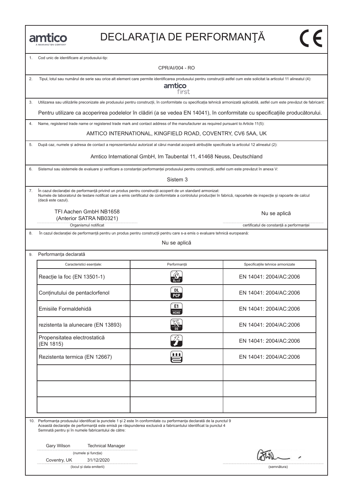1. Cod unic de identificare al produsului-tip:

CPR/AI/004 - RO

| 2. | Tipul, lotul sau numărul de serie sau orice alt element care permite identificarea produsului pentru construcții astfel cum este solicitat la articolul 11 alineatul (4):<br>amtico<br>first                                                                                                                |                                                                                                                            |                                                                                                                              |  |  |  |
|----|-------------------------------------------------------------------------------------------------------------------------------------------------------------------------------------------------------------------------------------------------------------------------------------------------------------|----------------------------------------------------------------------------------------------------------------------------|------------------------------------------------------------------------------------------------------------------------------|--|--|--|
| 3. | Utilizarea sau utilizările preconizate ale produsului pentru construcții, în conformitate cu specificația tehnică armonizată aplicabilă, astfel cum este prevăzut de fabricant:                                                                                                                             |                                                                                                                            |                                                                                                                              |  |  |  |
|    |                                                                                                                                                                                                                                                                                                             |                                                                                                                            | Pentru utilizare ca acoperirea podelelor în clădiri (a se vedea EN 14041), în conformitate cu specificațiile producătorului. |  |  |  |
| 4. | Name, registered trade name or registered trade mark and contact address of the manufacturer as required pursuant to Article 11(5):                                                                                                                                                                         |                                                                                                                            |                                                                                                                              |  |  |  |
|    |                                                                                                                                                                                                                                                                                                             | AMTICO INTERNATIONAL, KINGFIELD ROAD, COVENTRY, CV6 5AA, UK                                                                |                                                                                                                              |  |  |  |
| 5. | După caz, numele și adresa de contact a reprezentantului autorizat al cărui mandat acoperă atribuțiile specificate la articolul 12 alineatul (2):                                                                                                                                                           |                                                                                                                            |                                                                                                                              |  |  |  |
|    |                                                                                                                                                                                                                                                                                                             | Amtico International GmbH, Im Taubental 11, 41468 Neuss, Deutschland                                                       |                                                                                                                              |  |  |  |
| 6. | Sistemul sau sistemele de evaluare și verificare a constanței performanței produsului pentru construcții, astfel cum este prevăzut în anexa V:                                                                                                                                                              |                                                                                                                            |                                                                                                                              |  |  |  |
|    |                                                                                                                                                                                                                                                                                                             | Sistem <sub>3</sub>                                                                                                        |                                                                                                                              |  |  |  |
|    | În cazul declarației de performanță privind un produs pentru construcții acoperit de un standard armonizat:<br>Numele de laboratorul de testare notificat care a emis certificatul de conformitate a controlului producției în fabrică, rapoartele de inspecție și rapoarte de calcul<br>(dacă este cazul). |                                                                                                                            |                                                                                                                              |  |  |  |
|    | TFI Aachen GmbH NB1658                                                                                                                                                                                                                                                                                      |                                                                                                                            | Nu se aplică                                                                                                                 |  |  |  |
|    | (Anterior SATRA NB0321)<br>Organismul notificat                                                                                                                                                                                                                                                             |                                                                                                                            | certificatul de constanță a performanței                                                                                     |  |  |  |
| 8. |                                                                                                                                                                                                                                                                                                             | În cazul declarației de performanță pentru un produs pentru construcții pentru care s-a emis o evaluare tehnică europeană: |                                                                                                                              |  |  |  |
|    |                                                                                                                                                                                                                                                                                                             | Nu se aplică                                                                                                               |                                                                                                                              |  |  |  |
| 9. | Performanța declarată                                                                                                                                                                                                                                                                                       |                                                                                                                            |                                                                                                                              |  |  |  |
|    | Caracteristici esențiale:                                                                                                                                                                                                                                                                                   | Performanță                                                                                                                | Specificațiile tehnice armonizate                                                                                            |  |  |  |
|    | Reacție la foc (EN 13501-1)                                                                                                                                                                                                                                                                                 |                                                                                                                            | EN 14041: 2004/AC:2006                                                                                                       |  |  |  |
|    | Conținutului de pentaclorfenol                                                                                                                                                                                                                                                                              | DL.<br><b>PCP</b>                                                                                                          | EN 14041: 2004/AC:2006                                                                                                       |  |  |  |
|    | Emisiile Formaldehidă                                                                                                                                                                                                                                                                                       | E1<br><b>HCHO</b>                                                                                                          | EN 14041: 2004/AC:2006                                                                                                       |  |  |  |
|    | rezistenta la alunecare (EN 13893)                                                                                                                                                                                                                                                                          |                                                                                                                            | EN 14041: 2004/AC:2006                                                                                                       |  |  |  |
|    | Propensitatea electrostatică<br>(EN 1815)                                                                                                                                                                                                                                                                   | しくと                                                                                                                        | EN 14041: 2004/AC:2006                                                                                                       |  |  |  |
|    | Rezistenta termica (EN 12667)                                                                                                                                                                                                                                                                               | 自自自                                                                                                                        | EN 14041: 2004/AC:2006                                                                                                       |  |  |  |
|    |                                                                                                                                                                                                                                                                                                             |                                                                                                                            |                                                                                                                              |  |  |  |
|    |                                                                                                                                                                                                                                                                                                             |                                                                                                                            |                                                                                                                              |  |  |  |
|    |                                                                                                                                                                                                                                                                                                             |                                                                                                                            |                                                                                                                              |  |  |  |
|    |                                                                                                                                                                                                                                                                                                             |                                                                                                                            |                                                                                                                              |  |  |  |
|    | 10. Performanța produsului identificat la punctele 1 și 2 este în conformitate cu performanța declarată de la punctul 9                                                                                                                                                                                     |                                                                                                                            |                                                                                                                              |  |  |  |
|    | Această declarație de performanță este emisă pe răspunderea exclusivă a fabricantului identificat la punctul 4<br>Semnată pentru și în numele fabricantului de către:                                                                                                                                       |                                                                                                                            |                                                                                                                              |  |  |  |
|    | Gary Wilson<br><b>Technical Manager</b>                                                                                                                                                                                                                                                                     |                                                                                                                            |                                                                                                                              |  |  |  |
|    | (numele și funcția)                                                                                                                                                                                                                                                                                         |                                                                                                                            |                                                                                                                              |  |  |  |
|    | Coventry, UK<br>31/12/2020<br>(locul și data emiterii)                                                                                                                                                                                                                                                      |                                                                                                                            | (semnătura)                                                                                                                  |  |  |  |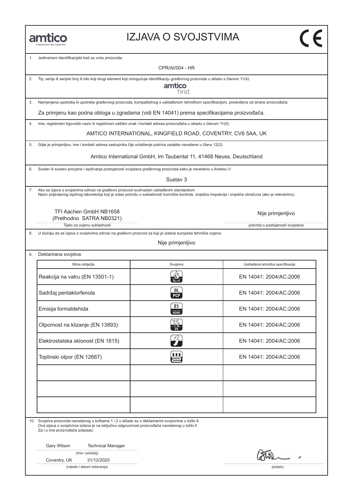#### IZJAVA O SVOJSTVIMA

1. Jedinstveni identifikacijski kod za vrstu proizvoda:

CPR/AI/004 - HR

2. Tip, serija ili serijski broj ili bilo koji drugi element koji omogućuje identifikaciju građevnog proizvoda u skladu s članom 11(4):

amtico first

3. Namjenjena upotreba ili upotrebe građevnog proizvoda, kompatibilnog s usklađenom tehničkom specifikacijom, predviđena od strane proizvođača:

Za primjenu kao podna obloga u zgradama (vidi EN 14041) prema specifikacijama proizvođača.

4. Ime, registrirani trgovački naziv ili registrirani zaštitni znak i kontakt adresa proizvođača u skladu s članom 11(5):

AMTICO INTERNATIONAL, KINGFIELD ROAD, COVENTRY, CV6 5AA, UK

5. Gdje je primjenljivo, ime i kontakt adresa zastupnika čije ovlaštenje pokriva zadatke navedene u članu 12(2):

Amtico International GmbH, Im Taubental 11, 41468 Neuss, Deutschland

6. Sustav ili sustavi procjene i ispitivanja postojanosti svojstava građevnog proizvoda kako je navedeno u Aneksu V:

Sustav 3

7. Ako se izjava o svojstvima odnosi na građevni proizvod ovuhvaćen usklađenim standardom: Naziv prijavljenog ispitnog laboratorija koji je izdao potvrdu o sukladnosti tvorničke kontrole, izvješća inspekcije i izvješća obračuna (ako je relevantno).

TFI Aachen GmbH NB1658 (Prethodno SATRA NB0321)

Tijelo za ocjenu sukladnosti **potvrda o postojanosti svojstava** potvrda o postojanosti svojstava

8. U slučaju da se izjava o svojstvima odnosi na građevni proizvod za koji je izdana europska tehnička ocjena:

Nije primjenljivo

9. Deklarirana svojstva

| Bitna obilježja                   | Svojstva                | Usklađena tehnička specifikacija |
|-----------------------------------|-------------------------|----------------------------------|
| Reakcija na vatru (EN 13501-1)    |                         | EN 14041: 2004/AC:2006           |
| Sadržaj pentaklorfenola           | <b>DL</b><br><b>PCP</b> | EN 14041: 2004/AC:2006           |
| Emisija formaldehida              | E1<br>НСНО              | EN 14041: 2004/AC:2006           |
| Otpornost na klizanje (EN 13893)  | K                       | EN 14041: 2004/AC:2006           |
| Elektrostatska sklonost (EN 1815) | ŹÈ                      | EN 14041: 2004/AC:2006           |
| Toplinski otpor (EN 12667)        | В                       | EN 14041: 2004/AC:2006           |
|                                   |                         |                                  |
|                                   |                         |                                  |
|                                   |                         |                                  |

10. Svojstva proizvoda navedenog u točkama 1 i 2 u skladu su s deklariranim svojstvima u točki 9. Ova izjava o svojstvima izdana je na isključivu odgovornost proizvođača navedenog u točki 4 Za i u ime proizvođača potpisao:

Gary Wilson Technical Manager

|  | (ime i položaj) |
|--|-----------------|
|  |                 |

Coventry, UK 31/12/2020

(mjesto i datum izdavanja) (potpis)

Nije primjenljivo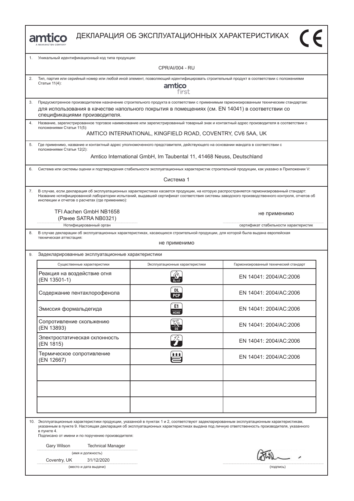|  | MANNINGTON COMPANY |
|--|--------------------|

| 1. | Уникальный идентификационный код типа продукции:                                                                                                                                                                                                                                                                                                             |                                                                      |                                                                                                                                             |  |  |  |
|----|--------------------------------------------------------------------------------------------------------------------------------------------------------------------------------------------------------------------------------------------------------------------------------------------------------------------------------------------------------------|----------------------------------------------------------------------|---------------------------------------------------------------------------------------------------------------------------------------------|--|--|--|
|    | <b>CPR/AI/004 - RU</b>                                                                                                                                                                                                                                                                                                                                       |                                                                      |                                                                                                                                             |  |  |  |
| 2. | Тип, партия или серийный номер или любой иной элемент, позволяющий идентифицировать строительный продукт в соответствии с положениями<br>Статьи 11(4):<br>amtico<br>first                                                                                                                                                                                    |                                                                      |                                                                                                                                             |  |  |  |
| 3. | Предусмотренное производителем назначение строительного продукта в соответствии с применимым гармонизированным техническим стандартам:<br>для использования в качестве напольного покрытия в помещениях (см. EN 14041) в соответствии со<br>спецификациями производителя.                                                                                    |                                                                      |                                                                                                                                             |  |  |  |
| 4. | Название, зарегистрированное торговое наименование или зарегистрированный товарный знак и контактный адрес производителя в соответствии с<br>положениями Статьи 11(5):                                                                                                                                                                                       | AMTICO INTERNATIONAL, KINGFIELD ROAD, COVENTRY, CV6 5AA, UK          |                                                                                                                                             |  |  |  |
| 5. | Где применимо, название и контактный адрес уполномоченного представителя, действующего на основании мандата в соответствии с<br>положениями Статьи 12(2):                                                                                                                                                                                                    |                                                                      |                                                                                                                                             |  |  |  |
|    |                                                                                                                                                                                                                                                                                                                                                              | Amtico International GmbH, Im Taubental 11, 41468 Neuss, Deutschland |                                                                                                                                             |  |  |  |
| 6. | Система или системы оценки и подтверждения стабильности эксплуатационных характеристик строительной продукции, как указано в Приложении V:                                                                                                                                                                                                                   |                                                                      |                                                                                                                                             |  |  |  |
|    |                                                                                                                                                                                                                                                                                                                                                              | Система 1                                                            |                                                                                                                                             |  |  |  |
| 7. | В случае, если декларация об эксплуатационных характеристиках касается продукции, на которую распространяется гармонизированный стандарт:<br>инспекции и отчетов о расчетах (где применимо):                                                                                                                                                                 |                                                                      | Название нотифицированной лаборатории испытаний, выдавшей сертификат соответствия системы заводского производственного контроля, отчетов об |  |  |  |
|    | TFI Aachen GmbH NB1658<br>(Ранее SATRA NB0321)                                                                                                                                                                                                                                                                                                               |                                                                      | не применимо                                                                                                                                |  |  |  |
|    | Нотифицированный орган                                                                                                                                                                                                                                                                                                                                       |                                                                      | сертификат стабильности характеристик                                                                                                       |  |  |  |
| 8. | В случае декларации об эксплуатационных характеристиках, касающихся строительной продукции, для которой была выдана европейская<br>техническая аттестация:                                                                                                                                                                                                   | не применимо                                                         |                                                                                                                                             |  |  |  |
| 9. | Задекларированные эксплуатационные характеристики                                                                                                                                                                                                                                                                                                            |                                                                      |                                                                                                                                             |  |  |  |
|    | Существенные характеристики                                                                                                                                                                                                                                                                                                                                  | Эксплуатационные характеристики                                      | Гармонизированный технический стандарт                                                                                                      |  |  |  |
|    | Реакция на воздействие огня<br>(EN 13501-1)                                                                                                                                                                                                                                                                                                                  |                                                                      | EN 14041: 2004/AC:2006                                                                                                                      |  |  |  |
|    | Содержание пентахлорофенола                                                                                                                                                                                                                                                                                                                                  | DL<br><b>PCP</b>                                                     | EN 14041: 2004/AC:2006                                                                                                                      |  |  |  |
|    | Эмиссия формальдегида                                                                                                                                                                                                                                                                                                                                        | E1<br>НСНО                                                           | EN 14041: 2004/AC:2006                                                                                                                      |  |  |  |
|    | Сопротивление скольжению<br>(EN 13893)                                                                                                                                                                                                                                                                                                                       | ్యా                                                                  | EN 14041: 2004/AC:2006                                                                                                                      |  |  |  |
|    | Электростатическая склонность<br>(EN 1815)                                                                                                                                                                                                                                                                                                                   | $\mathcal{L}_{\mathcal{T}}$                                          | EN 14041: 2004/AC:2006                                                                                                                      |  |  |  |
|    | Термическое сопротивление<br>(EN 12667)                                                                                                                                                                                                                                                                                                                      | 自自自                                                                  | EN 14041: 2004/AC:2006                                                                                                                      |  |  |  |
|    |                                                                                                                                                                                                                                                                                                                                                              |                                                                      |                                                                                                                                             |  |  |  |
|    |                                                                                                                                                                                                                                                                                                                                                              |                                                                      |                                                                                                                                             |  |  |  |
|    |                                                                                                                                                                                                                                                                                                                                                              |                                                                      |                                                                                                                                             |  |  |  |
|    | 10. Эксплуатационные характеристики продукции, указанной в пунктах 1 и 2, соответствуют задекларированным эксплуатационным характеристикам,<br>указанным в пункте 9. Настоящая декларация об эксплуатационных характеристиках выдана под личную ответственность производителя, указанного<br>в пункте 4.<br>Подписано от имени и по поручению производителя: |                                                                      |                                                                                                                                             |  |  |  |
|    | <b>Technical Manager</b><br>Gary Wilson                                                                                                                                                                                                                                                                                                                      |                                                                      |                                                                                                                                             |  |  |  |
|    | W<br>(имя и должность)<br>31/12/2020<br>Coventry, UK                                                                                                                                                                                                                                                                                                         |                                                                      |                                                                                                                                             |  |  |  |

(место и дата выдачи) (подпись)